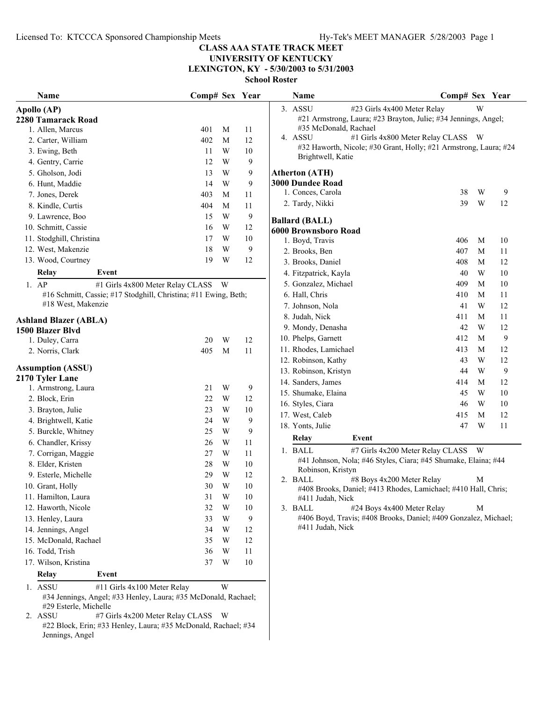$\overline{\phantom{0}}$ 

### **CLASS AAA STATE TRACK MEET**

### **UNIVERSITY OF KENTUCKY LEXINGTON, KY - 5/30/2003 to 5/31/2003**

| <b>Name</b>                                                                                                                       | Comp# Sex Year |                         |        | Name                                                             | Comp# Sex Year |   |    |  |  |
|-----------------------------------------------------------------------------------------------------------------------------------|----------------|-------------------------|--------|------------------------------------------------------------------|----------------|---|----|--|--|
| Apollo (AP)                                                                                                                       |                |                         |        | 3. ASSU<br>#23 Girls 4x400 Meter Relay                           |                | W |    |  |  |
| 2280 Tamarack Road                                                                                                                |                |                         |        | #21 Armstrong, Laura; #23 Brayton, Julie; #34 Jennings, Angel;   |                |   |    |  |  |
| 1. Allen, Marcus                                                                                                                  | 401            | M                       | 11     | #35 McDonald, Rachael                                            |                |   |    |  |  |
| 2. Carter, William                                                                                                                | 402            | M                       | 12     | 4. ASSU<br>#1 Girls 4x800 Meter Relay CLASS W                    |                |   |    |  |  |
| 3. Ewing, Beth                                                                                                                    | 11             | W                       | 10     | #32 Haworth, Nicole; #30 Grant, Holly; #21 Armstrong, Laura; #24 |                |   |    |  |  |
| 4. Gentry, Carrie                                                                                                                 | 12             | W                       | 9      | Brightwell, Katie                                                |                |   |    |  |  |
| 5. Gholson, Jodi                                                                                                                  | 13             | W                       | 9      | <b>Atherton (ATH)</b>                                            |                |   |    |  |  |
| 6. Hunt, Maddie                                                                                                                   | 14             | W                       | 9      | <b>3000 Dundee Road</b>                                          |                |   |    |  |  |
| 7. Jones, Derek                                                                                                                   | 403            | M                       | 11     | 1. Conces, Carola                                                | 38             | W | 9  |  |  |
| 8. Kindle, Curtis                                                                                                                 | 404            | M                       | 11     | 2. Tardy, Nikki                                                  | 39             | W | 12 |  |  |
| 9. Lawrence, Boo                                                                                                                  | 15             | W                       | 9      |                                                                  |                |   |    |  |  |
| 10. Schmitt, Cassie                                                                                                               | 16             | W                       | 12     | <b>Ballard (BALL)</b>                                            |                |   |    |  |  |
| 11. Stodghill, Christina                                                                                                          | 17             | W                       | 10     | 6000 Brownsboro Road                                             |                |   |    |  |  |
|                                                                                                                                   |                | W                       |        | 1. Boyd, Travis                                                  | 406            | M | 10 |  |  |
| 12. West, Makenzie                                                                                                                | 18             |                         | 9      | 2. Brooks, Ben                                                   | 407            | M | 11 |  |  |
| 13. Wood, Courtney                                                                                                                | 19             | W                       | 12     | 3. Brooks, Daniel                                                | 408            | M | 12 |  |  |
| Relay<br>Event                                                                                                                    |                |                         |        | 4. Fitzpatrick, Kayla                                            | 40             | W | 10 |  |  |
| $1.$ AP<br>#1 Girls 4x800 Meter Relay CLASS W                                                                                     |                |                         |        | 5. Gonzalez, Michael                                             | 409            | M | 10 |  |  |
| #16 Schmitt, Cassie; #17 Stodghill, Christina; #11 Ewing, Beth;                                                                   |                |                         |        | 6. Hall, Chris                                                   | 410            | M | 11 |  |  |
| #18 West, Makenzie                                                                                                                |                |                         |        | 7. Johnson, Nola                                                 | 41             | W | 12 |  |  |
| <b>Ashland Blazer (ABLA)</b>                                                                                                      |                |                         |        | 8. Judah, Nick                                                   | 411            | M | 11 |  |  |
| 1500 Blazer Blvd                                                                                                                  |                |                         |        | 9. Mondy, Denasha                                                | 42             | W | 12 |  |  |
| 1. Duley, Carra                                                                                                                   | 20             | W                       | 12     | 10. Phelps, Garnett                                              | 412            | M | 9  |  |  |
| 2. Norris, Clark                                                                                                                  | 405            | M                       | 11     | 11. Rhodes, Lamichael                                            | 413            | M | 12 |  |  |
|                                                                                                                                   |                |                         |        | 12. Robinson, Kathy                                              | 43             | W | 12 |  |  |
| <b>Assumption (ASSU)</b>                                                                                                          |                |                         |        | 13. Robinson, Kristyn                                            | 44             | W | 9  |  |  |
| 2170 Tyler Lane                                                                                                                   |                |                         |        | 14. Sanders, James                                               | 414            | M | 12 |  |  |
| 1. Armstrong, Laura                                                                                                               | 21             | W                       | 9      | 15. Shumake, Elaina                                              | 45             | W | 10 |  |  |
| 2. Block, Erin                                                                                                                    | 22             | W                       | 12     | 16. Styles, Ciara                                                | 46             | W | 10 |  |  |
| 3. Brayton, Julie                                                                                                                 | 23             | W                       | 10     | 17. West, Caleb                                                  | 415            | M | 12 |  |  |
| 4. Brightwell, Katie                                                                                                              | 24             | W                       | 9      |                                                                  |                |   |    |  |  |
| 5. Burckle, Whitney                                                                                                               | 25             | W                       | 9      | 18. Yonts, Julie                                                 | 47             | W | 11 |  |  |
| 6. Chandler, Krissy                                                                                                               | 26             | W                       | 11     | Relay<br>Event                                                   |                |   |    |  |  |
| 7. Corrigan, Maggie                                                                                                               | 27             | W                       | 11     | 1. BALL<br>#7 Girls 4x200 Meter Relay CLASS W                    |                |   |    |  |  |
| 8. Elder, Kristen                                                                                                                 | 28             | W                       | $10\,$ | #41 Johnson, Nola; #46 Styles, Ciara; #45 Shumake, Elaina; #44   |                |   |    |  |  |
| 9. Esterle, Michelle                                                                                                              | 29             | W                       | 12     | Robinson, Kristyn                                                |                |   |    |  |  |
| 10. Grant, Holly                                                                                                                  | $30\,$         | $\ensuremath{\text{W}}$ | $10\,$ | #8 Boys 4x200 Meter Relay<br>2. BALL                             |                | M |    |  |  |
| 11. Hamilton, Laura                                                                                                               | 31             | W                       | 10     | #408 Brooks, Daniel; #413 Rhodes, Lamichael; #410 Hall, Chris;   |                |   |    |  |  |
| 12. Haworth, Nicole                                                                                                               | 32             | W                       | 10     | #411 Judah, Nick<br>#24 Boys 4x400 Meter Relay<br>3. BALL        |                | M |    |  |  |
| 13. Henley, Laura                                                                                                                 | 33             | W                       | 9      | #406 Boyd, Travis; #408 Brooks, Daniel; #409 Gonzalez, Michael;  |                |   |    |  |  |
| 14. Jennings, Angel                                                                                                               | 34             | W                       | 12     | #411 Judah, Nick                                                 |                |   |    |  |  |
|                                                                                                                                   |                |                         |        |                                                                  |                |   |    |  |  |
| 15. McDonald, Rachael                                                                                                             | 35             | W                       | 12     |                                                                  |                |   |    |  |  |
| 16. Todd, Trish                                                                                                                   | 36             | W                       | 11     |                                                                  |                |   |    |  |  |
| 17. Wilson, Kristina                                                                                                              | 37             | W                       | 10     |                                                                  |                |   |    |  |  |
| Relay<br>Event                                                                                                                    |                |                         |        |                                                                  |                |   |    |  |  |
| #11 Girls 4x100 Meter Relay<br>1. ASSU<br>#34 Jennings, Angel; #33 Henley, Laura; #35 McDonald, Rachael;<br>#29 Esterle, Michelle |                | W                       |        |                                                                  |                |   |    |  |  |

2. ASSU #7 Girls 4x200 Meter Relay CLASS W #22 Block, Erin; #33 Henley, Laura; #35 McDonald, Rachael; #34 Jennings, Angel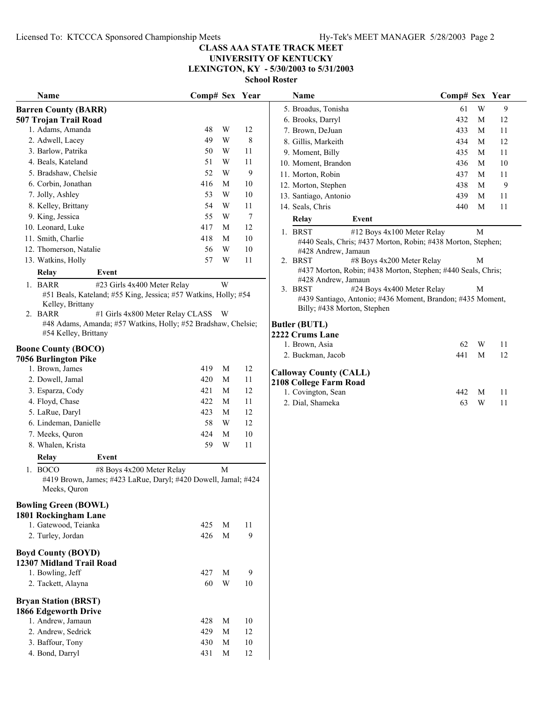**LEXINGTON, KY - 5/30/2003 to 5/31/2003**

|                        | Name                                                |                                                                 | Comp# Sex Year |   |    |
|------------------------|-----------------------------------------------------|-----------------------------------------------------------------|----------------|---|----|
|                        | <b>Barren County (BARR)</b>                         |                                                                 |                |   |    |
|                        | 507 Trojan Trail Road                               |                                                                 |                |   |    |
|                        | 1. Adams, Amanda                                    |                                                                 | 48             | W | 12 |
|                        | 2. Adwell, Lacey                                    |                                                                 | 49             | W | 8  |
|                        | 3. Barlow, Patrika                                  |                                                                 | 50             | W | 11 |
|                        | 4. Beals, Kateland                                  |                                                                 | 51             | W | 11 |
|                        | 5. Bradshaw, Chelsie                                |                                                                 | 52             | W | 9  |
|                        | 6. Corbin, Jonathan                                 |                                                                 | 416            | М | 10 |
|                        | 7. Jolly, Ashley                                    |                                                                 | 53             | W | 10 |
|                        | 8. Kelley, Brittany                                 |                                                                 | 54             | W | 11 |
|                        | 9. King, Jessica                                    |                                                                 | 55             | W | 7  |
|                        | 10. Leonard, Luke                                   |                                                                 | 417            | М | 12 |
|                        | 11. Smith, Charlie                                  |                                                                 | 418            | М | 10 |
|                        | 12. Thomerson, Natalie                              |                                                                 | 56             | W | 10 |
|                        | 13. Watkins, Holly                                  |                                                                 | 57             | W | 11 |
|                        | Relay                                               | Event                                                           |                |   |    |
|                        | 1. BARR                                             | #23 Girls 4x400 Meter Relay                                     |                | W |    |
|                        |                                                     | #51 Beals, Kateland; #55 King, Jessica; #57 Watkins, Holly; #54 |                |   |    |
|                        | Kelley, Brittany                                    |                                                                 |                |   |    |
| $\mathfrak{2}_{\cdot}$ | <b>BARR</b>                                         | #1 Girls 4x800 Meter Relay CLASS                                |                | W |    |
|                        | #54 Kelley, Brittany                                | #48 Adams, Amanda; #57 Watkins, Holly; #52 Bradshaw, Chelsie;   |                |   |    |
|                        |                                                     |                                                                 |                |   |    |
|                        | <b>Boone County (BOCO)</b>                          |                                                                 |                |   |    |
|                        | <b>7056 Burlington Pike</b>                         |                                                                 |                |   |    |
|                        | 1. Brown, James                                     |                                                                 | 419            | М | 12 |
|                        | 2. Dowell, Jamal                                    |                                                                 | 420            | М | 11 |
|                        | 3. Esparza, Cody                                    |                                                                 | 421            | М | 12 |
|                        | 4. Floyd, Chase                                     |                                                                 | 422            | М | 11 |
|                        | 5. LaRue, Daryl                                     |                                                                 | 423            | М | 12 |
|                        | 6. Lindeman, Danielle                               |                                                                 | 58             | W | 12 |
|                        | 7. Meeks, Quron                                     |                                                                 | 424            | М | 10 |
|                        | 8. Whalen, Krista                                   |                                                                 | 59             | W | 11 |
|                        | Relay                                               | Event                                                           |                |   |    |
| 1.                     | <b>BOCO</b>                                         | #8 Boys 4x200 Meter Relay                                       |                | М |    |
|                        | Meeks, Quron                                        | #419 Brown, James; #423 LaRue, Daryl; #420 Dowell, Jamal; #424  |                |   |    |
|                        |                                                     |                                                                 |                |   |    |
|                        | <b>Bowling Green (BOWL)</b>                         |                                                                 |                |   |    |
|                        | 1801 Rockingham Lane                                |                                                                 |                |   |    |
|                        | 1. Gatewood, Teianka                                |                                                                 | 425            | М | 11 |
|                        | 2. Turley, Jordan                                   |                                                                 | 426            | М | 9  |
|                        | <b>Boyd County (BOYD)</b>                           |                                                                 |                |   |    |
|                        | 12307 Midland Trail Road                            |                                                                 |                |   |    |
|                        | 1. Bowling, Jeff                                    |                                                                 | 427            | М | 9  |
|                        | 2. Tackett, Alayna                                  |                                                                 | 60             | W | 10 |
|                        |                                                     |                                                                 |                |   |    |
|                        | <b>Bryan Station (BRST)</b><br>1866 Edgeworth Drive |                                                                 |                |   |    |
|                        | 1. Andrew, Jamaun                                   |                                                                 | 428            | М | 10 |
|                        | 2. Andrew, Sedrick                                  |                                                                 | 429            | М | 12 |
|                        | 3. Baffour, Tony                                    |                                                                 | 430            | М | 10 |
|                        | 4. Bond, Darryl                                     |                                                                 | 431            | М | 12 |
|                        |                                                     |                                                                 |                |   |    |

| Name                                                            | Comp# Sex Year |    |    | Name                                                         | Comp# Sex Year |   |    |
|-----------------------------------------------------------------|----------------|----|----|--------------------------------------------------------------|----------------|---|----|
| n County (BARR)                                                 |                |    |    | 5. Broadus, Tonisha                                          | 61             | W | 9  |
| rojan Trail Road                                                |                |    |    | 6. Brooks, Darryl                                            | 432            | M | 12 |
| Adams, Amanda                                                   | 48             | W  | 12 | 7. Brown, DeJuan                                             | 433            | M | 11 |
| Adwell, Lacey                                                   | 49             | W  | 8  | 8. Gillis, Markeith                                          | 434            | M | 12 |
| Barlow, Patrika                                                 | 50             | W  | 11 | 9. Moment, Billy                                             | 435            | M | 11 |
| Beals, Kateland                                                 | 51             | W  | 11 | 10. Moment, Brandon                                          | 436            | M | 10 |
| Bradshaw, Chelsie                                               | 52             | W  | 9  | 11. Morton, Robin                                            | 437            | M | 11 |
| Corbin, Jonathan                                                | 416            | М  | 10 | 12. Morton, Stephen                                          | 438            | M | 9  |
| Jolly, Ashley                                                   | 53             | W  | 10 | 13. Santiago, Antonio                                        | 439            | M | 11 |
| Kelley, Brittany                                                | 54             | W  | 11 | 14. Seals, Chris                                             | 440            | M | 11 |
| King, Jessica                                                   | 55             | W  | 7  | Relay<br>Event                                               |                |   |    |
| Leonard, Luke                                                   | 417            | М  | 12 | 1. BRST<br>#12 Boys 4x100 Meter Relay                        |                | M |    |
| Smith, Charlie                                                  | 418            | M  | 10 | #440 Seals, Chris; #437 Morton, Robin; #438 Morton, Stephen; |                |   |    |
| Thomerson, Natalie                                              | 56             | W  | 10 | #428 Andrew, Jamaun                                          |                |   |    |
| Watkins, Holly                                                  | 57             | W  | 11 | 2. BRST<br>#8 Boys 4x200 Meter Relay                         |                | M |    |
| Relay<br>Event                                                  |                |    |    | #437 Morton, Robin; #438 Morton, Stephen; #440 Seals, Chris; |                |   |    |
| <b>BARR</b><br>#23 Girls 4x400 Meter Relay                      |                | W  |    | #428 Andrew, Jamaun                                          |                |   |    |
| #51 Beals, Kateland; #55 King, Jessica; #57 Watkins, Holly; #54 |                |    |    | 3. BRST<br>#24 Boys 4x400 Meter Relay                        |                | M |    |
| Kelley, Brittany                                                |                |    |    | #439 Santiago, Antonio; #436 Moment, Brandon; #435 Moment,   |                |   |    |
| BARR<br>#1 Girls 4x800 Meter Relay CLASS W                      |                |    |    | Billy; #438 Morton, Stephen                                  |                |   |    |
| #48 Adams, Amanda; #57 Watkins, Holly; #52 Bradshaw, Chelsie;   |                |    |    | <b>Butler (BUTL)</b>                                         |                |   |    |
| #54 Kelley, Brittany                                            |                |    |    | 2222 Crums Lane                                              |                |   |    |
| e County (BOCO)                                                 |                |    |    | 1. Brown, Asia                                               | 62             | W | 11 |
| <b>Burlington Pike</b>                                          |                |    |    | 2. Buckman, Jacob                                            | 441            | M | 12 |
| Brown, James                                                    | 419            | M  | 12 | <b>Calloway County (CALL)</b>                                |                |   |    |
| Dowell, Jamal                                                   | 420            | М  | 11 | 2108 College Farm Road                                       |                |   |    |
| Esparza, Cody                                                   | 421            | М  | 12 | 1. Covington, Sean                                           | 442            | M | 11 |
| Floyd, Chase                                                    | 422            | М  | 11 | 2. Dial, Shameka                                             | 63             | W | 11 |
| LaRue, Daryl                                                    | 423            | М  | 12 |                                                              |                |   |    |
| Lindeman, Danielle                                              | 58             | W  | 12 |                                                              |                |   |    |
| Meeks, Quron                                                    | 424            | М  | 10 |                                                              |                |   |    |
| Whalen, Krista                                                  | 59             | W  | 11 |                                                              |                |   |    |
| Relay<br>Event                                                  |                |    |    |                                                              |                |   |    |
| <b>BOCO</b><br>#8 Boys 4x200 Meter Relay                        |                | М  |    |                                                              |                |   |    |
| #419 Brown, James; #423 LaRue, Daryl; #420 Dowell, Jamal; #424  |                |    |    |                                                              |                |   |    |
| Meeks, Quron                                                    |                |    |    |                                                              |                |   |    |
|                                                                 |                |    |    |                                                              |                |   |    |
| ng Green (BOWL)<br>Rockingham Lane                              |                |    |    |                                                              |                |   |    |
| Gatewood, Teianka                                               | 425            | M  | 11 |                                                              |                |   |    |
| Turley, Jordan                                                  | 426            | M  | 9  |                                                              |                |   |    |
|                                                                 |                |    |    |                                                              |                |   |    |
| <b>County (BOYD)</b>                                            |                |    |    |                                                              |                |   |    |
| Midland Trail Road                                              |                |    |    |                                                              |                |   |    |
| Bowling, Jeff                                                   | 427            | M  | 9  |                                                              |                |   |    |
| Tackett Alayna                                                  | 60             | W. | 10 |                                                              |                |   |    |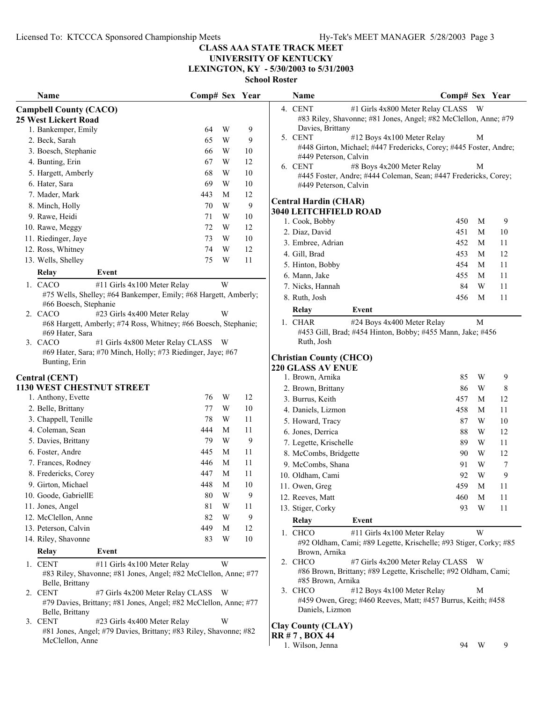# **UNIVERSITY OF KENTUCKY**

**LEXINGTON, KY - 5/30/2003 to 5/31/2003**

**School Roster**

|    | Name                                                         |                                                                                                | Comp# Sex |   | Year |
|----|--------------------------------------------------------------|------------------------------------------------------------------------------------------------|-----------|---|------|
|    | <b>Campbell County (CACO)</b><br><b>25 West Lickert Road</b> |                                                                                                |           |   |      |
|    | 1. Bankemper, Emily                                          |                                                                                                | 64        | W | 9    |
|    | 2. Beck, Sarah                                               |                                                                                                | 65        | W | 9    |
|    | 3. Boesch, Stephanie                                         |                                                                                                | 66        | W | 10   |
|    | 4. Bunting, Erin                                             |                                                                                                | 67        | W | 12   |
|    | 5. Hargett, Amberly                                          |                                                                                                | 68        | W | 10   |
|    | 6. Hater, Sara                                               |                                                                                                | 69        | W | 10   |
|    | 7. Mader, Mark                                               |                                                                                                | 443       | М | 12   |
|    | 8. Minch, Holly                                              |                                                                                                | 70        | W | 9    |
|    | 9. Rawe, Heidi                                               |                                                                                                | 71        | W | 10   |
|    | 10. Rawe, Meggy                                              |                                                                                                | 72        | W | 12   |
|    | 11. Riedinger, Jaye                                          |                                                                                                | 73        | W | 10   |
|    | 12. Ross, Whitney                                            |                                                                                                | 74        | W | 12   |
|    | 13. Wells, Shelley                                           |                                                                                                | 75        | W | 11   |
|    |                                                              |                                                                                                |           |   |      |
|    | Relay                                                        | Event                                                                                          |           |   |      |
|    | 1. CACO                                                      | #11 Girls 4x100 Meter Relay                                                                    |           | W |      |
|    | #66 Boesch, Stephanie                                        | #75 Wells, Shelley; #64 Bankemper, Emily; #68 Hargett, Amberly;                                |           |   |      |
|    | 2. CACO                                                      | #23 Girls 4x400 Meter Relay                                                                    |           | W |      |
|    |                                                              | #68 Hargett, Amberly; #74 Ross, Whitney; #66 Boesch, Stephanie;                                |           |   |      |
|    | #69 Hater, Sara                                              |                                                                                                |           |   |      |
|    | 3. CACO                                                      | #1 Girls 4x800 Meter Relay CLASS                                                               |           | W |      |
|    |                                                              | #69 Hater, Sara; #70 Minch, Holly; #73 Riedinger, Jaye; #67                                    |           |   |      |
|    | Bunting, Erin                                                |                                                                                                |           |   |      |
|    | <b>Central (CENT)</b>                                        |                                                                                                |           |   |      |
|    | <b>1130 WEST CHESTNUT STREET</b>                             |                                                                                                |           |   |      |
|    | 1. Anthony, Evette                                           |                                                                                                | 76        | W | 12   |
|    | 2. Belle, Brittany                                           |                                                                                                | 77        | W | 10   |
|    | 3. Chappell, Tenille                                         |                                                                                                | 78        | W | 11   |
|    | 4. Coleman, Sean                                             |                                                                                                | 444       | М | 11   |
|    | 5. Davies, Brittany                                          |                                                                                                | 79        | W | 9    |
|    | 6. Foster, Andre                                             |                                                                                                | 445       | М | 11   |
|    | 7. Frances, Rodney                                           |                                                                                                | 446       | М | 11   |
|    | 8. Fredericks, Corey                                         |                                                                                                | 447       | М | 11   |
|    | 9. Girton, Michael                                           |                                                                                                | 448       | М | 10   |
|    | 10. Goode, GabriellE                                         |                                                                                                | 80        | W | 9    |
|    | 11. Jones, Angel                                             |                                                                                                | 81        | W | 11   |
|    | 12. McClellon, Anne                                          |                                                                                                | 82        | W | 9    |
|    | 13. Peterson, Calvin                                         |                                                                                                | 449       | M | 12   |
|    | 14. Riley, Shavonne                                          |                                                                                                | 83        | W | 10   |
|    | <b>Relay</b>                                                 | Event                                                                                          |           |   |      |
|    | <b>CENT</b>                                                  |                                                                                                |           | W |      |
| 1. |                                                              | #11 Girls 4x100 Meter Relay<br>#83 Riley, Shavonne; #81 Jones, Angel; #82 McClellon, Anne; #77 |           |   |      |
|    | Belle, Brittany                                              |                                                                                                |           |   |      |
| 2. | <b>CENT</b>                                                  | #7 Girls 4x200 Meter Relay CLASS                                                               |           | W |      |
|    |                                                              | #79 Davies, Brittany; #81 Jones, Angel; #82 McClellon, Anne; #77                               |           |   |      |
|    | Belle, Brittany                                              |                                                                                                |           |   |      |
| 3. | <b>CENT</b>                                                  | #23 Girls 4x400 Meter Relay                                                                    |           | W |      |

#81 Jones, Angel; #79 Davies, Brittany; #83 Riley, Shavonne; #82 McClellon, Anne

|    | Name                                                       |                                                                                                     | Comp# Sex |   | Year |
|----|------------------------------------------------------------|-----------------------------------------------------------------------------------------------------|-----------|---|------|
| 4. | <b>CENT</b><br>Davies, Brittany                            | #1 Girls 4x800 Meter Relay CLASS<br>#83 Riley, Shavonne; #81 Jones, Angel; #82 McClellon, Anne; #79 |           | W |      |
|    | 5. CENT<br>#449 Peterson, Calvin                           | #12 Boys 4x100 Meter Relay<br>#448 Girton, Michael; #447 Fredericks, Corey; #445 Foster, Andre;     |           | M |      |
|    | 6. CENT<br>#449 Peterson, Calvin                           | #8 Boys 4x200 Meter Relay<br>#445 Foster, Andre; #444 Coleman, Sean; #447 Fredericks, Corey;        |           | М |      |
|    | <b>Central Hardin (CHAR)</b>                               |                                                                                                     |           |   |      |
|    | <b>3040 LEITCHFIELD ROAD</b>                               |                                                                                                     |           |   |      |
|    | 1. Cook, Bobby                                             |                                                                                                     | 450       | М | 9    |
|    | 2. Diaz, David                                             |                                                                                                     | 451       | M | 10   |
|    | 3. Embree, Adrian                                          |                                                                                                     | 452       | М | 11   |
|    | 4. Gill, Brad                                              |                                                                                                     | 453       | M | 12   |
|    | 5. Hinton, Bobby                                           |                                                                                                     | 454       | М | 11   |
|    | 6. Mann, Jake                                              |                                                                                                     | 455       | M | 11   |
|    | 7. Nicks, Hannah                                           |                                                                                                     | 84        | W | 11   |
|    | 8. Ruth, Josh                                              |                                                                                                     | 456       | М | 11   |
|    | Relay                                                      | Event                                                                                               |           |   |      |
|    | 1. CHAR<br>Ruth, Josh                                      | #24 Boys 4x400 Meter Relay<br>#453 Gill, Brad; #454 Hinton, Bobby; #455 Mann, Jake; #456            |           | М |      |
|    | <b>Christian County (CHCO)</b><br><b>220 GLASS AV ENUE</b> |                                                                                                     |           |   |      |
|    | 1. Brown, Arnika                                           |                                                                                                     | 85        | W | 9    |
|    | 2. Brown, Brittany                                         |                                                                                                     | 86        | W | 8    |
|    | 3. Burrus, Keith                                           |                                                                                                     | 457       | М | 12   |
|    | 4. Daniels, Lizmon                                         |                                                                                                     | 458       | M | 11   |
|    | 5. Howard, Tracy                                           |                                                                                                     | 87        | W | 10   |
|    | 6. Jones, Derrica                                          |                                                                                                     | 88        | W | 12   |
|    | 7. Legette, Krischelle                                     |                                                                                                     | 89        | W | 11   |
|    | 8. McCombs, Bridgette                                      |                                                                                                     | 90        | W | 12   |
|    | 9. McCombs, Shana                                          |                                                                                                     | 91        | W | 7    |
|    | 10. Oldham, Cami                                           |                                                                                                     | 92        | W | 9    |
|    | 11. Owen, Greg                                             |                                                                                                     | 459       | М | 11   |
|    | 12. Reeves, Matt                                           |                                                                                                     | 460       | М | 11   |
|    | 13. Stiger, Corky                                          |                                                                                                     | 93        | W | 11   |
|    | Relay                                                      | Event                                                                                               |           |   |      |
|    | 1. CHCO                                                    | #11 Girls 4x100 Meter Relay                                                                         |           | W |      |

#92 Oldham, Cami; #89 Legette, Krischelle; #93 Stiger, Corky; #85 Brown, Arnika

2. CHCO #7 Girls 4x200 Meter Relay CLASS W #86 Brown, Brittany; #89 Legette, Krischelle; #92 Oldham, Cami; #85 Brown, Arnika

3. CHCO #12 Boys 4x100 Meter Relay M #459 Owen, Greg; #460 Reeves, Matt; #457 Burrus, Keith; #458 Daniels, Lizmon

#### **Clay County (CLAY) RR # 7 , BOX 44**

1. Wilson, Jenna 94 W 9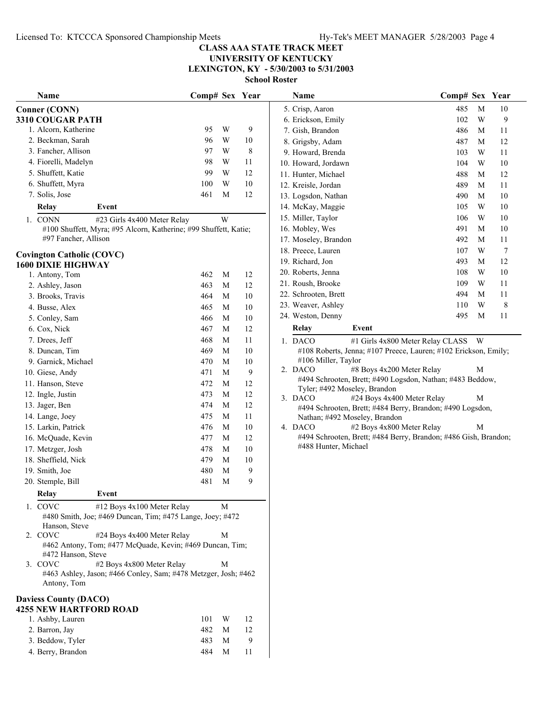**LEXINGTON, KY - 5/30/2003 to 5/31/2003**

**School Roster**

| Name                                                                          | Comp# Sex Year |                         |        | Name                                                                                               | Comp# Sex Year |                |                |
|-------------------------------------------------------------------------------|----------------|-------------------------|--------|----------------------------------------------------------------------------------------------------|----------------|----------------|----------------|
| <b>Conner (CONN)</b>                                                          |                |                         |        | 5. Crisp, Aaron                                                                                    | 485            | M              | 10             |
| 3310 COUGAR PATH                                                              |                |                         |        | 6. Erickson, Emily                                                                                 | 102            | W              | $\mathbf{9}$   |
| 1. Alcorn, Katherine                                                          | 95             | $\ensuremath{\text{W}}$ | 9      | 7. Gish, Brandon                                                                                   | 486            | M              | 11             |
| 2. Beckman, Sarah                                                             | 96             | $\ensuremath{\text{W}}$ | 10     | 8. Grigsby, Adam                                                                                   | 487            | M              | 12             |
| 3. Fancher, Allison                                                           | 97             | W                       | 8      | 9. Howard, Brenda                                                                                  | 103            | W              | 11             |
| 4. Fiorelli, Madelyn                                                          | 98             | W                       | 11     | 10. Howard, Jordawn                                                                                | 104            | W              | 10             |
| 5. Shuffett, Katie                                                            | 99             | $\ensuremath{\text{W}}$ | 12     | 11. Hunter, Michael                                                                                | 488            | M              | 12             |
| 6. Shuffett, Myra                                                             | 100            | W                       | 10     | 12. Kreisle, Jordan                                                                                | 489            | M              | 11             |
| 7. Solis, Jose                                                                | 461            | M                       | 12     | 13. Logsdon, Nathan                                                                                | 490            | $\mathbf M$    | 10             |
| Event<br>Relay                                                                |                |                         |        | 14. McKay, Maggie                                                                                  | 105            | W              | 10             |
| #23 Girls 4x400 Meter Relay<br>1. CONN                                        |                | W                       |        | 15. Miller, Taylor                                                                                 | 106            | W              | 10             |
| #100 Shuffett, Myra; #95 Alcorn, Katherine; #99 Shuffett, Katie;              |                |                         |        | 16. Mobley, Wes                                                                                    | 491            | M              | 10             |
| #97 Fancher, Allison                                                          |                |                         |        | 17. Moseley, Brandon                                                                               | 492            | M              | 11             |
| <b>Covington Catholic (COVC)</b>                                              |                |                         |        | 18. Preece, Lauren                                                                                 | 107            | W              | $\overline{7}$ |
| <b>1600 DIXIE HIGHWAY</b>                                                     |                |                         |        | 19. Richard, Jon                                                                                   | 493            | M              | 12             |
| 1. Antony, Tom                                                                | 462            | M                       | 12     | 20. Roberts, Jenna                                                                                 | 108            | W              | 10             |
| 2. Ashley, Jason                                                              | 463            | M                       | 12     | 21. Roush, Brooke                                                                                  | 109            | W              | 11             |
| 3. Brooks, Travis                                                             | 464            | M                       | $10\,$ | 22. Schrooten, Brett                                                                               | 494            | M              | 11             |
| 4. Busse, Alex                                                                | 465            | M                       | $10\,$ | 23. Weaver, Ashley                                                                                 | 110            | W              | $\,$ 8 $\,$    |
| 5. Conley, Sam                                                                | 466            | M                       | $10\,$ | 24. Weston, Denny                                                                                  | 495            | M              | 11             |
| 6. Cox, Nick                                                                  | 467            | $\mathbf M$             | 12     | <b>Relay</b><br>Event                                                                              |                |                |                |
| 7. Drees, Jeff                                                                | 468            | M                       | 11     | 1. DACO<br>#1 Girls 4x800 Meter Relay CLASS                                                        |                | W <sub>1</sub> |                |
| 8. Duncan, Tim                                                                | 469            | M                       | 10     | #108 Roberts, Jenna; #107 Preece, Lauren; #102 Erickson, Emily;                                    |                |                |                |
| 9. Garnick, Michael                                                           | 470            | M                       | 10     | #106 Miller, Taylor                                                                                |                |                |                |
| 10. Giese, Andy                                                               | 471            | $\mathbf M$             | 9      | 2. DACO<br>#8 Boys 4x200 Meter Relay                                                               |                | М              |                |
| 11. Hanson, Steve                                                             | 472            | M                       | 12     | #494 Schrooten, Brett; #490 Logsdon, Nathan; #483 Beddow,                                          |                |                |                |
| 12. Ingle, Justin                                                             | 473            | M                       | 12     | Tyler; #492 Moseley, Brandon                                                                       |                |                |                |
| 13. Jager, Ben                                                                | 474            | $\mathbf M$             | 12     | 3. DACO<br>#24 Boys 4x400 Meter Relay<br>#494 Schrooten, Brett; #484 Berry, Brandon; #490 Logsdon, |                | М              |                |
| 14. Lange, Joey                                                               | 475            | $\mathbf M$             | 11     | Nathan; #492 Moseley, Brandon                                                                      |                |                |                |
| 15. Larkin, Patrick                                                           | 476            | $\mathbf M$             | 10     | #2 Boys 4x800 Meter Relay<br>4. DACO                                                               |                | M              |                |
| 16. McQuade, Kevin                                                            | 477            | $\mathbf M$             | 12     | #494 Schrooten, Brett; #484 Berry, Brandon; #486 Gish, Brandon;                                    |                |                |                |
| 17. Metzger, Josh                                                             | 478            | M                       | 10     | #488 Hunter, Michael                                                                               |                |                |                |
| 18. Sheffield, Nick                                                           | 479            | M                       | 10     |                                                                                                    |                |                |                |
| 19. Smith, Joe                                                                | 480            | $\mathbf M$             | 9      |                                                                                                    |                |                |                |
| 20. Stemple, Bill                                                             | 481            | M                       | 9      |                                                                                                    |                |                |                |
| Event<br>Relay                                                                |                |                         |        |                                                                                                    |                |                |                |
| 1. COVC<br>#12 Boys 4x100 Meter Relay                                         |                | M                       |        |                                                                                                    |                |                |                |
| #480 Smith, Joe; #469 Duncan, Tim; #475 Lange, Joey; #472                     |                |                         |        |                                                                                                    |                |                |                |
| Hanson, Steve                                                                 |                |                         |        |                                                                                                    |                |                |                |
| 2. COVC<br>#24 Boys 4x400 Meter Relay                                         |                | М                       |        |                                                                                                    |                |                |                |
| #462 Antony, Tom; #477 McQuade, Kevin; #469 Duncan, Tim;                      |                |                         |        |                                                                                                    |                |                |                |
| #472 Hanson, Steve                                                            |                |                         |        |                                                                                                    |                |                |                |
| 3. COVC<br>#2 Boys 4x800 Meter Relay                                          |                | M                       |        |                                                                                                    |                |                |                |
| #463 Ashley, Jason; #466 Conley, Sam; #478 Metzger, Josh; #462<br>Antony, Tom |                |                         |        |                                                                                                    |                |                |                |
| <b>Daviess County (DACO)</b>                                                  |                |                         |        |                                                                                                    |                |                |                |
| <b>4255 NEW HARTFORD ROAD</b>                                                 |                |                         |        |                                                                                                    |                |                |                |
| 1. Ashby, Lauren                                                              | 101            | W                       | 12     |                                                                                                    |                |                |                |
| 2. Barron, Jay                                                                | 482            | M                       | 12     |                                                                                                    |                |                |                |
| 3. Beddow, Tyler                                                              | 483            | M                       | 9      |                                                                                                    |                |                |                |
| 4. Berry, Brandon                                                             | 484            | M                       | 11     |                                                                                                    |                |                |                |
|                                                                               |                |                         |        |                                                                                                    |                |                |                |

| Name                 |       | Comp# Sex Year |   |    |
|----------------------|-------|----------------|---|----|
| 5. Crisp, Aaron      |       | 485            | M | 10 |
| 6. Erickson, Emily   |       | 102            | W | 9  |
| 7. Gish, Brandon     |       | 486            | M | 11 |
| 8. Grigsby, Adam     |       | 487            | M | 12 |
| 9. Howard, Brenda    |       | 103            | W | 11 |
| 10. Howard, Jordawn  |       | 104            | W | 10 |
| 11. Hunter, Michael  |       | 488            | М | 12 |
| 12. Kreisle, Jordan  |       | 489            | M | 11 |
| 13. Logsdon, Nathan  |       | 490            | M | 10 |
| 14. McKay, Maggie    |       | 105            | W | 10 |
| 15. Miller, Taylor   |       | 106            | W | 10 |
| 16. Mobley, Wes      |       | 491            | М | 10 |
| 17. Moseley, Brandon |       | 492            | M | 11 |
| 18. Preece, Lauren   |       | 107            | W | 7  |
| 19. Richard, Jon     |       | 493            | М | 12 |
| 20. Roberts, Jenna   |       | 108            | W | 10 |
| 21. Roush, Brooke    |       | 109            | W | 11 |
| 22. Schrooten, Brett |       | 494            | M | 11 |
| 23. Weaver, Ashley   |       | 110            | W | 8  |
| 24. Weston, Denny    |       | 495            | М | 11 |
| Relay                | Event |                |   |    |
|                      |       |                |   |    |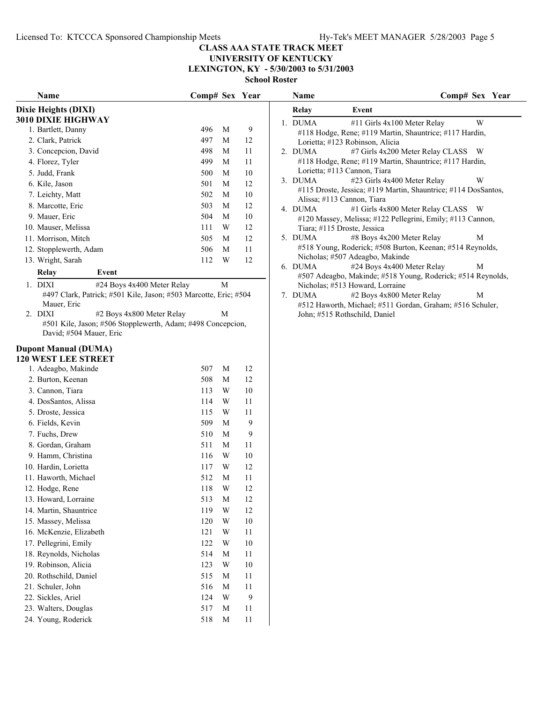### **UNIVERSITY OF KENTUCKY LEXINGTON, KY - 5/30/2003 to 5/31/2003**

**School Roster**

| Name                                                                                                                                                                                                              | Comp# Sex Year |                         |        | Name                                                                                                                                                                  | Comp# Sex Year                     |
|-------------------------------------------------------------------------------------------------------------------------------------------------------------------------------------------------------------------|----------------|-------------------------|--------|-----------------------------------------------------------------------------------------------------------------------------------------------------------------------|------------------------------------|
| Dixie Heights (DIXI)                                                                                                                                                                                              |                |                         |        | Relay<br>Event                                                                                                                                                        |                                    |
| 3010 DIXIE HIGHWAY                                                                                                                                                                                                |                |                         |        | 1. DUMA<br>#11 Girls 4x100 Meter Relay                                                                                                                                | W                                  |
| 1. Bartlett, Danny                                                                                                                                                                                                | 496            | M                       | 9      | #118 Hodge, Rene; #119 Martin, Shauntrice; #117 Hardin,                                                                                                               |                                    |
| 2. Clark, Patrick                                                                                                                                                                                                 | 497            | M                       | 12     | Lorietta; #123 Robinson, Alicia                                                                                                                                       |                                    |
| 3. Concepcion, David                                                                                                                                                                                              | 498            | M                       | 11     | 2. DUMA                                                                                                                                                               | #7 Girls 4x200 Meter Relay CLASS W |
| 4. Florez, Tyler                                                                                                                                                                                                  | 499            | M                       | 11     | #118 Hodge, Rene; #119 Martin, Shauntrice; #117 Hardin,                                                                                                               |                                    |
| 5. Judd, Frank                                                                                                                                                                                                    | 500            | M                       | 10     | Lorietta; #113 Cannon, Tiara                                                                                                                                          |                                    |
| 6. Kile, Jason                                                                                                                                                                                                    | 501            | M                       | 12     | 3. DUMA<br>#23 Girls 4x400 Meter Relay                                                                                                                                | W                                  |
| 7. Leichty, Matt                                                                                                                                                                                                  | 502            | M                       | 10     | #115 Droste, Jessica; #119 Martin, Shauntrice; #114 DosSantos,<br>Alissa; #113 Cannon, Tiara                                                                          |                                    |
| 8. Marcotte, Eric                                                                                                                                                                                                 | 503            | M                       | 12     | 4. DUMA                                                                                                                                                               | #1 Girls 4x800 Meter Relay CLASS W |
| 9. Mauer, Eric                                                                                                                                                                                                    | 504            | M                       | 10     | #120 Massey, Melissa; #122 Pellegrini, Emily; #113 Cannon,                                                                                                            |                                    |
| 10. Mauser, Melissa                                                                                                                                                                                               | 111            | W                       | 12     | Tiara; #115 Droste, Jessica                                                                                                                                           |                                    |
| 11. Morrison, Mitch                                                                                                                                                                                               | 505            | M                       | 12     | 5. DUMA<br>#8 Boys 4x200 Meter Relay                                                                                                                                  | M                                  |
| 12. Stopplewerth, Adam                                                                                                                                                                                            | 506            | M                       | 11     | #518 Young, Roderick; #508 Burton, Keenan; #514 Reynolds,                                                                                                             |                                    |
| 13. Wright, Sarah                                                                                                                                                                                                 | 112            | W                       | 12     | Nicholas; #507 Adeagbo, Makinde                                                                                                                                       |                                    |
| Relay<br>Event                                                                                                                                                                                                    |                |                         |        | 6. DUMA<br>#24 Boys 4x400 Meter Relay                                                                                                                                 | M                                  |
| #24 Boys 4x400 Meter Relay<br>1. DIXI                                                                                                                                                                             |                | M                       |        | #507 Adeagbo, Makinde; #518 Young, Roderick; #514 Reynolds,                                                                                                           |                                    |
| #497 Clark, Patrick; #501 Kile, Jason; #503 Marcotte, Eric; #504<br>Mauer, Eric<br>#2 Boys 4x800 Meter Relay<br>2. DIXI<br>#501 Kile, Jason; #506 Stopplewerth, Adam; #498 Concepcion,<br>David; #504 Mauer, Eric |                | М                       |        | Nicholas; #513 Howard, Lorraine<br>7. DUMA<br>#2 Boys 4x800 Meter Relay<br>#512 Haworth, Michael; #511 Gordan, Graham; #516 Schuler,<br>John; #515 Rothschild, Daniel | M                                  |
| <b>Dupont Manual (DUMA)</b><br><b>120 WEST LEE STREET</b>                                                                                                                                                         |                |                         |        |                                                                                                                                                                       |                                    |
| 1. Adeagbo, Makinde                                                                                                                                                                                               | 507            | M                       | 12     |                                                                                                                                                                       |                                    |
| 2. Burton, Keenan                                                                                                                                                                                                 | 508            | M                       | 12     |                                                                                                                                                                       |                                    |
| 3. Cannon, Tiara                                                                                                                                                                                                  | 113            | W                       | 10     |                                                                                                                                                                       |                                    |
| 4. DosSantos, Alissa                                                                                                                                                                                              | 114            | W                       | 11     |                                                                                                                                                                       |                                    |
| 5. Droste, Jessica                                                                                                                                                                                                | 115            | W                       | 11     |                                                                                                                                                                       |                                    |
| 6. Fields, Kevin                                                                                                                                                                                                  | 509            | M                       | 9      |                                                                                                                                                                       |                                    |
| 7. Fuchs, Drew                                                                                                                                                                                                    | 510            | M                       | 9      |                                                                                                                                                                       |                                    |
| 8. Gordan, Graham                                                                                                                                                                                                 | 511            | M                       | 11     |                                                                                                                                                                       |                                    |
| 9. Hamm, Christina                                                                                                                                                                                                | 116            | W                       | 10     |                                                                                                                                                                       |                                    |
| 10. Hardin, Lorietta                                                                                                                                                                                              | 117            | W                       | 12     |                                                                                                                                                                       |                                    |
| 11. Haworth, Michael                                                                                                                                                                                              | 512            | M                       | 11     |                                                                                                                                                                       |                                    |
| 12. Hodge, Rene                                                                                                                                                                                                   | 118            | $\ensuremath{\text{W}}$ | 12     |                                                                                                                                                                       |                                    |
| 13. Howard, Lorraine                                                                                                                                                                                              | 513            | M                       | 12     |                                                                                                                                                                       |                                    |
| 14. Martin, Shauntrice                                                                                                                                                                                            | 119            | $\ensuremath{\text{W}}$ | 12     |                                                                                                                                                                       |                                    |
| 15. Massey, Melissa                                                                                                                                                                                               | 120            | W                       | 10     |                                                                                                                                                                       |                                    |
| 16. McKenzie, Elizabeth                                                                                                                                                                                           | 121            | W                       | 11     |                                                                                                                                                                       |                                    |
| 17. Pellegrini, Emily                                                                                                                                                                                             | 122            | W                       | 10     |                                                                                                                                                                       |                                    |
| 18. Reynolds, Nicholas                                                                                                                                                                                            | 514            | M                       | 11     |                                                                                                                                                                       |                                    |
| 19. Robinson, Alicia                                                                                                                                                                                              | 123            | W                       | $10\,$ |                                                                                                                                                                       |                                    |
| 20. Rothschild, Daniel                                                                                                                                                                                            | 515            | M                       | 11     |                                                                                                                                                                       |                                    |
| 21. Schuler, John                                                                                                                                                                                                 | 516            | M                       | 11     |                                                                                                                                                                       |                                    |
| 22. Sickles, Ariel                                                                                                                                                                                                | 124            | W                       | 9      |                                                                                                                                                                       |                                    |
| 23. Walters, Douglas                                                                                                                                                                                              | 517            | M                       | 11     |                                                                                                                                                                       |                                    |
| 24. Young, Roderick                                                                                                                                                                                               | 518            | M                       | 11     |                                                                                                                                                                       |                                    |
|                                                                                                                                                                                                                   |                |                         |        |                                                                                                                                                                       |                                    |

|   | Name    |                                                                | Comp# Sex Year |
|---|---------|----------------------------------------------------------------|----------------|
|   | Relay   | Event                                                          |                |
|   | 1. DUMA | #11 Girls 4x100 Meter Relay                                    | W              |
|   |         | #118 Hodge, Rene; #119 Martin, Shauntrice; #117 Hardin,        |                |
|   |         | Lorietta; #123 Robinson, Alicia                                |                |
|   | 2. DUMA | #7 Girls 4x200 Meter Relay CLASS                               | - W            |
|   |         | #118 Hodge, Rene; #119 Martin, Shauntrice; #117 Hardin,        |                |
|   |         | Lorietta; #113 Cannon, Tiara                                   |                |
|   | 3. DUMA | #23 Girls 4x400 Meter Relay                                    | W              |
|   |         | #115 Droste, Jessica; #119 Martin, Shauntrice; #114 DosSantos, |                |
|   |         | Alissa; #113 Cannon, Tiara                                     |                |
|   | 4. DUMA | #1 Girls 4x800 Meter Relay CLASS W                             |                |
|   |         | #120 Massey, Melissa; #122 Pellegrini, Emily; #113 Cannon,     |                |
|   |         | Tiara; #115 Droste, Jessica                                    |                |
|   | 5. DUMA | #8 Boys 4x200 Meter Relay                                      | M              |
|   |         | #518 Young, Roderick; #508 Burton, Keenan; #514 Reynolds,      |                |
|   |         | Nicholas; #507 Adeagbo, Makinde                                |                |
|   | 6. DUMA | #24 Boys 4x400 Meter Relay                                     | M              |
|   |         | #507 Adeagbo, Makinde; #518 Young, Roderick; #514 Reynolds,    |                |
|   |         | Nicholas; #513 Howard, Lorraine                                |                |
| 7 | DUMA    | #2 Boys 4x800 Meter Relay                                      | М              |
|   |         |                                                                |                |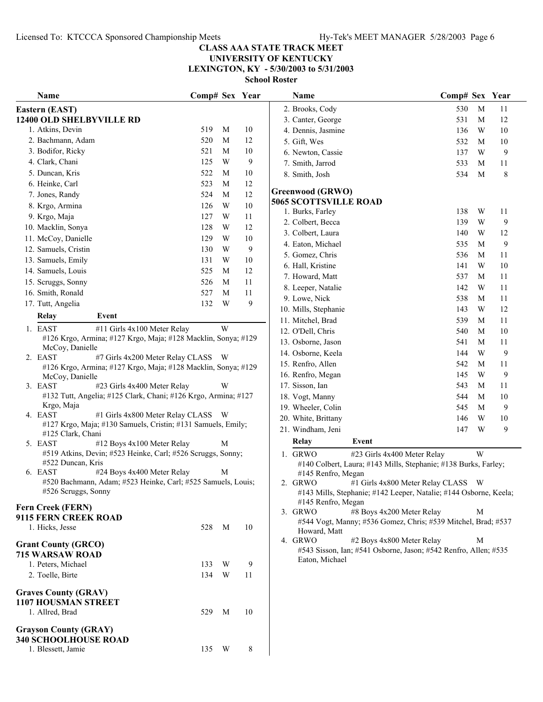**LEXINGTON, KY - 5/30/2003 to 5/31/2003**

| Name                                                                                                 | Comp# Sex Year |   |        | Name                                                                                                      | Comp# Sex Year |             |    |
|------------------------------------------------------------------------------------------------------|----------------|---|--------|-----------------------------------------------------------------------------------------------------------|----------------|-------------|----|
| Eastern (EAST)                                                                                       |                |   |        | 2. Brooks, Cody                                                                                           | 530            | M           | 11 |
| 12400 OLD SHELBYVILLE RD                                                                             |                |   |        | 3. Canter, George                                                                                         | 531            | M           | 12 |
| 1. Atkins, Devin                                                                                     | 519            | M | 10     | 4. Dennis, Jasmine                                                                                        | 136            | W           | 10 |
| 2. Bachmann, Adam                                                                                    | 520            | M | 12     | 5. Gift, Wes                                                                                              | 532            | M           | 10 |
| 3. Bodifor, Ricky                                                                                    | 521            | M | 10     | 6. Newton, Cassie                                                                                         | 137            | W           | 9  |
| 4. Clark, Chani                                                                                      | 125            | W | 9      | 7. Smith, Jarrod                                                                                          | 533            | M           | 11 |
| 5. Duncan, Kris                                                                                      | 522            | M | $10\,$ | 8. Smith, Josh                                                                                            | 534            | M           | 8  |
| 6. Heinke, Carl                                                                                      | 523            | M | 12     | <b>Greenwood (GRWO)</b>                                                                                   |                |             |    |
| 7. Jones, Randy                                                                                      | 524            | M | 12     | <b>5065 SCOTTSVILLE ROAD</b>                                                                              |                |             |    |
| 8. Krgo, Armina                                                                                      | 126            | W | $10\,$ | 1. Burks, Farley                                                                                          | 138            | W           | 11 |
| 9. Krgo, Maja                                                                                        | 127            | W | 11     | 2. Colbert, Becca                                                                                         | 139            | W           | 9  |
| 10. Macklin, Sonya                                                                                   | 128            | W | 12     | 3. Colbert, Laura                                                                                         | 140            | W           | 12 |
| 11. McCoy, Danielle                                                                                  | 129            | W | 10     | 4. Eaton, Michael                                                                                         | 535            | M           | 9  |
| 12. Samuels, Cristin                                                                                 | 130            | W | 9      | 5. Gomez, Chris                                                                                           | 536            | M           | 11 |
| 13. Samuels, Emily                                                                                   | 131            | W | 10     | 6. Hall, Kristine                                                                                         | 141            | W           | 10 |
| 14. Samuels, Louis                                                                                   | 525            | M | 12     | 7. Howard, Matt                                                                                           | 537            | M           | 11 |
| 15. Scruggs, Sonny                                                                                   | 526            | M | 11     | 8. Leeper, Natalie                                                                                        | 142            | W           | 11 |
| 16. Smith, Ronald                                                                                    | 527            | M | 11     | 9. Lowe, Nick                                                                                             | 538            | M           | 11 |
| 17. Tutt, Angelia                                                                                    | 132            | W | 9      | 10. Mills, Stephanie                                                                                      | 143            | W           | 12 |
| Event<br><b>Relay</b>                                                                                |                |   |        | 11. Mitchel, Brad                                                                                         | 539            | M           | 11 |
| 1. EAST<br>#11 Girls 4x100 Meter Relay                                                               |                | W |        | 12. O'Dell, Chris                                                                                         | 540            | $\mathbf M$ | 10 |
| #126 Krgo, Armina; #127 Krgo, Maja; #128 Macklin, Sonya; #129                                        |                |   |        | 13. Osborne, Jason                                                                                        | 541            | M           | 11 |
| McCoy, Danielle                                                                                      |                |   |        | 14. Osborne, Keela                                                                                        | 144            | W           | 9  |
| 2. EAST<br>#7 Girls 4x200 Meter Relay CLASS W                                                        |                |   |        | 15. Renfro, Allen                                                                                         | 542            | M           | 11 |
| #126 Krgo, Armina; #127 Krgo, Maja; #128 Macklin, Sonya; #129<br>McCoy, Danielle                     |                |   |        | 16. Renfro, Megan                                                                                         | 145            | W           | 9  |
| 3. EAST<br>#23 Girls 4x400 Meter Relay                                                               |                | W |        | 17. Sisson, Ian                                                                                           | 543            | M           | 11 |
| #132 Tutt, Angelia; #125 Clark, Chani; #126 Krgo, Armina; #127                                       |                |   |        | 18. Vogt, Manny                                                                                           | 544            | M           | 10 |
| Krgo, Maja                                                                                           |                |   |        | 19. Wheeler, Colin                                                                                        | 545            | M           | 9  |
| 4. EAST<br>#1 Girls 4x800 Meter Relay CLASS W                                                        |                |   |        | 20. White, Brittany                                                                                       | 146            | W           | 10 |
| #127 Krgo, Maja; #130 Samuels, Cristin; #131 Samuels, Emily;                                         |                |   |        | 21. Windham, Jeni                                                                                         | 147            | W           | 9  |
| #125 Clark, Chani                                                                                    |                |   |        | Event<br>Relay                                                                                            |                |             |    |
| 5. EAST<br>#12 Boys 4x100 Meter Relay<br>#519 Atkins, Devin; #523 Heinke, Carl; #526 Scruggs, Sonny; |                | М |        |                                                                                                           |                | W           |    |
| #522 Duncan, Kris                                                                                    |                |   |        | 1. GRWO<br>#23 Girls 4x400 Meter Relay<br>#140 Colbert, Laura; #143 Mills, Stephanie; #138 Burks, Farley; |                |             |    |
| 6. EAST<br>#24 Boys 4x400 Meter Relay                                                                |                | М |        | #145 Renfro, Megan                                                                                        |                |             |    |
| #520 Bachmann, Adam; #523 Heinke, Carl; #525 Samuels, Louis;                                         |                |   |        | 2. GRWO<br>#1 Girls 4x800 Meter Relay CLASS W                                                             |                |             |    |
| #526 Scruggs, Sonny                                                                                  |                |   |        | #143 Mills, Stephanie; #142 Leeper, Natalie; #144 Osborne, Keela;                                         |                |             |    |
| Fern Creek (FERN)                                                                                    |                |   |        | #145 Renfro, Megan                                                                                        |                |             |    |
| 9115 FERN CREEK ROAD                                                                                 |                |   |        | #8 Boys 4x200 Meter Relay<br>3. GRWO                                                                      |                | M           |    |
| 1. Hicks, Jesse                                                                                      | 528            | M | 10     | #544 Vogt, Manny; #536 Gomez, Chris; #539 Mitchel, Brad; #537<br>Howard, Matt                             |                |             |    |
|                                                                                                      |                |   |        | 4. GRWO<br>#2 Boys 4x800 Meter Relay                                                                      |                | M           |    |
| <b>Grant County (GRCO)</b>                                                                           |                |   |        | #543 Sisson, Ian; #541 Osborne, Jason; #542 Renfro, Allen; #535                                           |                |             |    |
| 715 WARSAW ROAD<br>1. Peters, Michael                                                                | 133            | W | 9      | Eaton, Michael                                                                                            |                |             |    |
| 2. Toelle, Birte                                                                                     | 134            | W | 11     |                                                                                                           |                |             |    |
|                                                                                                      |                |   |        |                                                                                                           |                |             |    |
| <b>Graves County (GRAV)</b>                                                                          |                |   |        |                                                                                                           |                |             |    |
| <b>1107 HOUSMAN STREET</b>                                                                           |                |   |        |                                                                                                           |                |             |    |
| 1. Allred, Brad                                                                                      | 529            | M | 10     |                                                                                                           |                |             |    |
| <b>Grayson County (GRAY)</b>                                                                         |                |   |        |                                                                                                           |                |             |    |
| 340 SCHOOLHOUSE ROAD                                                                                 |                |   |        |                                                                                                           |                |             |    |
| 1. Blessett, Jamie                                                                                   | 135            | W | 8      |                                                                                                           |                |             |    |
|                                                                                                      |                |   |        |                                                                                                           |                |             |    |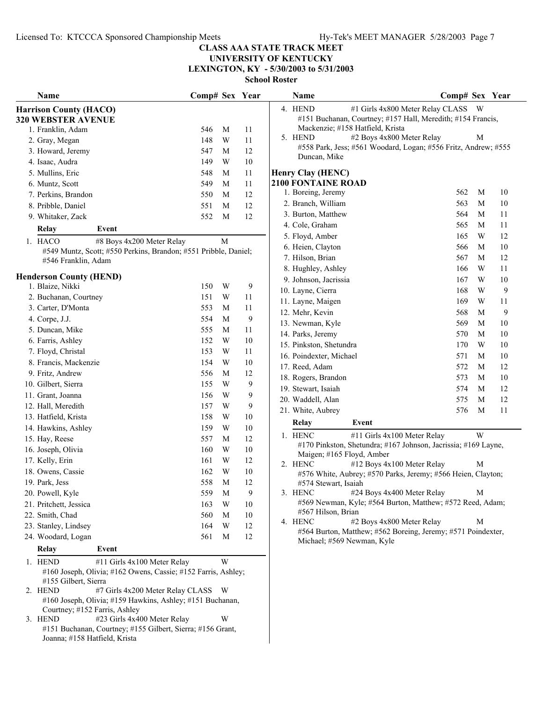# **UNIVERSITY OF KENTUCKY**

**LEXINGTON, KY - 5/30/2003 to 5/31/2003**

**School Roster**

| Name                                                                                                                            | Comp# Sex Year |             |          | Name                                                                                               | Comp# Sex Year |             |        |
|---------------------------------------------------------------------------------------------------------------------------------|----------------|-------------|----------|----------------------------------------------------------------------------------------------------|----------------|-------------|--------|
| <b>Harrison County (HACO)</b>                                                                                                   |                |             |          | #1 Girls 4x800 Meter Relay CLASS W<br>4. HEND                                                      |                |             |        |
| <b>320 WEBSTER AVENUE</b>                                                                                                       |                |             |          | #151 Buchanan, Courtney; #157 Hall, Meredith; #154 Francis,                                        |                |             |        |
| 1. Franklin, Adam                                                                                                               | 546            | M           | 11       | Mackenzie; #158 Hatfield, Krista                                                                   |                |             |        |
| 2. Gray, Megan                                                                                                                  | 148            | W           | 11       | #2 Boys 4x800 Meter Relay<br>5. HEND                                                               |                | M           |        |
| 3. Howard, Jeremy                                                                                                               | 547            | M           | 12       | #558 Park, Jess; #561 Woodard, Logan; #556 Fritz, Andrew; #555                                     |                |             |        |
| 4. Isaac, Audra                                                                                                                 | 149            | W           | 10       | Duncan, Mike                                                                                       |                |             |        |
| 5. Mullins, Eric                                                                                                                | 548            | M           | 11       | Henry Clay (HENC)                                                                                  |                |             |        |
| 6. Muntz, Scott                                                                                                                 | 549            | M           | 11       | <b>2100 FONTAINE ROAD</b>                                                                          |                |             |        |
| 7. Perkins, Brandon                                                                                                             | 550            | M           | 12       | 1. Boreing, Jeremy                                                                                 | 562            | M           | 10     |
| 8. Pribble, Daniel                                                                                                              | 551            | M           | 12       | 2. Branch, William                                                                                 | 563            | M           | $10\,$ |
| 9. Whitaker, Zack                                                                                                               | 552            | M           | 12       | 3. Burton, Matthew                                                                                 | 564            | $\mathbf M$ | 11     |
| Relay<br>Event                                                                                                                  |                |             |          | 4. Cole, Graham                                                                                    | 565            | $\mathbf M$ | 11     |
| 1. HACO<br>#8 Boys 4x200 Meter Relay                                                                                            |                | M           |          | 5. Floyd, Amber                                                                                    | 165            | W           | 12     |
| #549 Muntz, Scott; #550 Perkins, Brandon; #551 Pribble, Daniel;                                                                 |                |             |          | 6. Heien, Clayton                                                                                  | 566            | M           | 10     |
| #546 Franklin, Adam                                                                                                             |                |             |          | 7. Hilson, Brian                                                                                   | 567            | M           | 12     |
|                                                                                                                                 |                |             |          | 8. Hughley, Ashley                                                                                 | 166            | W           | 11     |
| <b>Henderson County (HEND)</b><br>1. Blaize, Nikki                                                                              | 150            | W           | 9        | 9. Johnson, Jacrissia                                                                              | 167            | W           | 10     |
| 2. Buchanan, Courtney                                                                                                           | 151            | W           | 11       | 10. Layne, Cierra                                                                                  | 168            | W           | 9      |
| 3. Carter, D'Monta                                                                                                              | 553            | M           | 11       | 11. Layne, Maigen                                                                                  | 169            | W           | 11     |
| 4. Corpe, J.J.                                                                                                                  | 554            | М           | 9        | 12. Mehr, Kevin                                                                                    | 568            | M           | 9      |
| 5. Duncan, Mike                                                                                                                 | 555            | M           | 11       | 13. Newman, Kyle                                                                                   | 569            | M           | 10     |
| 6. Farris, Ashley                                                                                                               | 152            | W           | 10       | 14. Parks, Jeremy                                                                                  | 570            | M           | 10     |
| 7. Floyd, Christal                                                                                                              | 153            | W           | 11       | 15. Pinkston, Shetundra                                                                            | 170            | W           | 10     |
| 8. Francis, Mackenzie                                                                                                           | 154            | W           | 10       | 16. Poindexter, Michael                                                                            | 571            | M           | 10     |
| 9. Fritz, Andrew                                                                                                                | 556            | M           | 12       | 17. Reed, Adam                                                                                     | 572            | M           | 12     |
| 10. Gilbert, Sierra                                                                                                             | 155            | W           | 9        | 18. Rogers, Brandon                                                                                | 573            | M           | 10     |
|                                                                                                                                 | 156            |             |          | 19. Stewart, Isaiah                                                                                | 574            | M           | 12     |
| 11. Grant, Joanna                                                                                                               | 157            | W<br>W      | 9        | 20. Waddell, Alan                                                                                  | 575            | M           | 12     |
| 12. Hall, Meredith                                                                                                              |                |             | 9        | 21. White, Aubrey                                                                                  | 576            | M           | 11     |
| 13. Hatfield, Krista                                                                                                            | 158            | W<br>W      | 10<br>10 | Relay<br>Event                                                                                     |                |             |        |
| 14. Hawkins, Ashley                                                                                                             | 159            |             |          | 1. HENC<br>#11 Girls 4x100 Meter Relay                                                             |                | W           |        |
| 15. Hay, Reese                                                                                                                  | 557            | M           | 12       | #170 Pinkston, Shetundra; #167 Johnson, Jacrissia; #169 Layne,                                     |                |             |        |
| 16. Joseph, Olivia                                                                                                              | 160            | W           | 10       | Maigen; #165 Floyd, Amber                                                                          |                |             |        |
| 17. Kelly, Erin                                                                                                                 | 161            | W           | 12       | #12 Boys 4x100 Meter Relay<br>2. HENC                                                              |                | M           |        |
| 18. Owens, Cassie                                                                                                               | 162            | W           | 10<br>12 | #576 White, Aubrey; #570 Parks, Jeremy; #566 Heien, Clayton;                                       |                |             |        |
| 19. Park, Jess                                                                                                                  | 558            | M           |          | #574 Stewart, Isaiah                                                                               |                | M           |        |
| 20. Powell, Kyle                                                                                                                | 559            | $\mathbf M$ | 9        | 3. HENC<br>#24 Boys 4x400 Meter Relay<br>#569 Newman, Kyle; #564 Burton, Matthew; #572 Reed, Adam; |                |             |        |
| 21. Pritchett, Jessica                                                                                                          | 163            | W           | 10       | #567 Hilson, Brian                                                                                 |                |             |        |
| 22. Smith, Chad                                                                                                                 | 560            | M           | 10       | #2 Boys 4x800 Meter Relay<br>4. HENC                                                               |                | M           |        |
| 23. Stanley, Lindsey                                                                                                            | 164            | W           | 12       | #564 Burton, Matthew; #562 Boreing, Jeremy; #571 Poindexter,                                       |                |             |        |
| 24. Woodard, Logan                                                                                                              | 561            | M           | 12       | Michael; #569 Newman, Kyle                                                                         |                |             |        |
| Event<br><b>Relay</b>                                                                                                           |                |             |          |                                                                                                    |                |             |        |
| 1. HEND<br>#11 Girls 4x100 Meter Relay<br>#160 Joseph, Olivia; #162 Owens, Cassie; #152 Farris, Ashley;<br>#155 Gilbert, Sierra |                | W           |          |                                                                                                    |                |             |        |
| #7 Girls 4x200 Meter Relay CLASS W<br>2. HEND<br>#160 Joseph, Olivia; #159 Hawkins, Ashley; #151 Buchanan,                      |                |             |          |                                                                                                    |                |             |        |
| Courtney; #152 Farris, Ashley<br>#23 Girls 4x400 Meter Relay<br>3. HEND                                                         |                | W           |          |                                                                                                    |                |             |        |
| #151 Buchanan, Courtney; #155 Gilbert, Sierra; #156 Grant,<br>Joanna; #158 Hatfield, Krista                                     |                |             |          |                                                                                                    |                |             |        |

|    | <b>Name</b>               |                                                                                         | Comp# Sex Year |   |    |
|----|---------------------------|-----------------------------------------------------------------------------------------|----------------|---|----|
| 4. | <b>HEND</b>               | #1 Girls 4x800 Meter Relay CLASS                                                        |                | W |    |
|    |                           | #151 Buchanan, Courtney; #157 Hall, Meredith; #154 Francis,                             |                |   |    |
|    |                           | Mackenzie; #158 Hatfield, Krista                                                        |                |   |    |
| 5. | <b>HEND</b>               | #2 Boys 4x800 Meter Relay                                                               |                | М |    |
|    |                           | #558 Park, Jess; #561 Woodard, Logan; #556 Fritz, Andrew; #555                          |                |   |    |
|    | Duncan, Mike              |                                                                                         |                |   |    |
|    | <b>Henry Clay (HENC)</b>  |                                                                                         |                |   |    |
|    | <b>2100 FONTAINE ROAD</b> |                                                                                         |                |   |    |
|    | 1. Boreing, Jeremy        |                                                                                         | 562            | М | 10 |
|    | 2. Branch, William        |                                                                                         | 563            | M | 10 |
|    | 3. Burton, Matthew        |                                                                                         | 564            | М | 11 |
|    | 4. Cole, Graham           |                                                                                         | 565            | М | 11 |
|    | 5. Floyd, Amber           |                                                                                         | 165            | W | 12 |
|    | 6. Heien, Clayton         |                                                                                         | 566            | M | 10 |
|    | 7. Hilson, Brian          |                                                                                         | 567            | M | 12 |
|    | 8. Hughley, Ashley        |                                                                                         | 166            | W | 11 |
|    | 9. Johnson, Jacrissia     |                                                                                         | 167            | W | 10 |
|    | 10. Layne, Cierra         |                                                                                         | 168            | W | 9  |
|    | 11. Layne, Maigen         |                                                                                         | 169            | W | 11 |
|    | 12. Mehr, Kevin           |                                                                                         | 568            | M | 9  |
|    | 13. Newman, Kyle          |                                                                                         | 569            | M | 10 |
|    | 14. Parks, Jeremy         |                                                                                         | 570            | M | 10 |
|    | 15. Pinkston, Shetundra   |                                                                                         | 170            | W | 10 |
|    | 16. Poindexter, Michael   |                                                                                         | 571            | М | 10 |
|    | 17. Reed, Adam            |                                                                                         | 572            | М | 12 |
|    | 18. Rogers, Brandon       |                                                                                         | 573            | М | 10 |
|    | 19. Stewart, Isaiah       |                                                                                         | 574            | М | 12 |
|    | 20. Waddell, Alan         |                                                                                         | 575            | М | 12 |
|    | 21. White, Aubrey         |                                                                                         | 576            | М | 11 |
|    | Relay                     | Event                                                                                   |                |   |    |
|    | 1. HENC                   | #11 Girls 4x100 Meter Relay                                                             |                | W |    |
|    |                           | #170 Pinkston, Shetundra; #167 Johnson, Jacrissia; #169 Layne,                          |                |   |    |
|    | Maigen; #165 Floyd, Amber |                                                                                         |                |   |    |
| 2. | <b>HENC</b>               | #12 Boys 4x100 Meter Relay                                                              |                | М |    |
|    |                           | #576 White, Aubrey; #570 Parks, Jeremy; #566 Heien, Clayton;                            |                |   |    |
|    | #574 Stewart, Isaiah      |                                                                                         |                |   |    |
|    | 3. HENC                   | #24 Boys 4x400 Meter Relay<br>#569 Newman, Kyle; #564 Burton, Matthew; #572 Reed, Adam; |                | M |    |
|    | #567 Hilson, Brian        |                                                                                         |                |   |    |
| 4. | <b>HENC</b>               | #2 Boys 4x800 Meter Relay                                                               |                | М |    |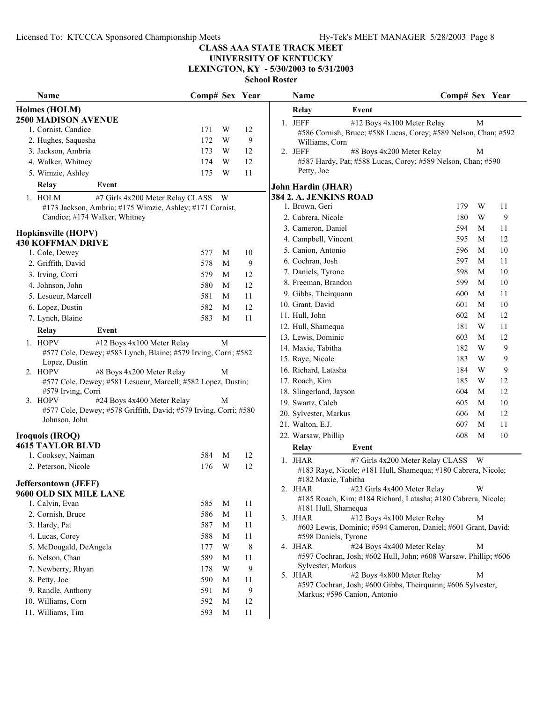# **UNIVERSITY OF KENTUCKY**

**LEXINGTON, KY - 5/30/2003 to 5/31/2003**

| Name                                      |                                                                  | Comp# Sex Year |   |    | <b>Name</b>                                                                                                    | Comp# Sex Year |                       |
|-------------------------------------------|------------------------------------------------------------------|----------------|---|----|----------------------------------------------------------------------------------------------------------------|----------------|-----------------------|
| Holmes (HOLM)                             |                                                                  |                |   |    | Relay<br>Event                                                                                                 |                |                       |
| <b>2500 MADISON AVENUE</b>                |                                                                  |                |   |    | 1. JEFF<br>#12 Boys 4x100 Meter Relay                                                                          |                | M                     |
| 1. Cornist, Candice                       |                                                                  | 171            | W | 12 | #586 Cornish, Bruce; #588 Lucas, Corey; #589 Nelson, Chan; #59                                                 |                |                       |
| 2. Hughes, Saquesha                       |                                                                  | 172            | W | 9  | Williams, Corn                                                                                                 |                |                       |
| 3. Jackson, Ambria                        |                                                                  | 173            | W | 12 | 2. JEFF<br>#8 Boys 4x200 Meter Relay                                                                           |                | М                     |
| 4. Walker, Whitney                        |                                                                  | 174            | W | 12 | #587 Hardy, Pat; #588 Lucas, Corey; #589 Nelson, Chan; #590                                                    |                |                       |
| 5. Wimzie, Ashley                         |                                                                  | 175            | W | 11 | Petty, Joe                                                                                                     |                |                       |
| Relay                                     | Event                                                            |                |   |    | John Hardin (JHAR)                                                                                             |                |                       |
| 1. HOLM                                   | #7 Girls 4x200 Meter Relay CLASS W                               |                |   |    | 384 2. A. JENKINS ROAD                                                                                         |                |                       |
|                                           | #173 Jackson, Ambria; #175 Wimzie, Ashley; #171 Cornist,         |                |   |    | 1. Brown, Geri                                                                                                 | 179            | W<br>11               |
|                                           | Candice; #174 Walker, Whitney                                    |                |   |    | 2. Cabrera, Nicole                                                                                             | 180            | $\boldsymbol{9}$<br>W |
| <b>Hopkinsville (HOPV)</b>                |                                                                  |                |   |    | 3. Cameron, Daniel                                                                                             | 594            | M<br>11               |
| <b>430 KOFFMAN DRIVE</b>                  |                                                                  |                |   |    | 4. Campbell, Vincent                                                                                           | 595            | 12<br>M               |
| 1. Cole, Dewey                            |                                                                  | 577            | M | 10 | 5. Canion, Antonio                                                                                             | 596            | 10<br>M               |
| 2. Griffith, David                        |                                                                  | 578            | M | 9  | 6. Cochran, Josh                                                                                               | 597            | M<br>11               |
| 3. Irving, Corri                          |                                                                  | 579            | M | 12 | 7. Daniels, Tyrone                                                                                             | 598            | 10<br>M               |
| 4. Johnson, John                          |                                                                  | 580            | M | 12 | 8. Freeman, Brandon                                                                                            | 599            | 10<br>M               |
| 5. Lesueur, Marcell                       |                                                                  | 581            | M | 11 | 9. Gibbs, Theirquann                                                                                           | 600            | M<br>11               |
| 6. Lopez, Dustin                          |                                                                  | 582            | M | 12 | 10. Grant, David                                                                                               | 601            | M<br>10               |
| 7. Lynch, Blaine                          |                                                                  | 583            | M | 11 | 11. Hull, John                                                                                                 | 602            | 12<br>M               |
|                                           | Event                                                            |                |   |    | 12. Hull, Shamequa                                                                                             | 181            | W<br>11               |
| <b>Relay</b>                              |                                                                  |                |   |    | 13. Lewis, Dominic                                                                                             | 603            | 12<br>M               |
| 1. HOPV                                   | #12 Boys 4x100 Meter Relay                                       |                | M |    | 14. Maxie, Tabitha                                                                                             | 182            | 9<br>W                |
| Lopez, Dustin                             | #577 Cole, Dewey; #583 Lynch, Blaine; #579 Irving, Corri; #582   |                |   |    | 15. Raye, Nicole                                                                                               | 183            | 9<br>W                |
| 2. HOPV                                   | #8 Boys 4x200 Meter Relay                                        |                | M |    | 16. Richard, Latasha                                                                                           | 184            | 9<br>W                |
|                                           | #577 Cole, Dewey; #581 Lesueur, Marcell; #582 Lopez, Dustin;     |                |   |    | 17. Roach, Kim                                                                                                 | 185            | 12<br>W               |
| #579 Irving, Corri                        |                                                                  |                |   |    | 18. Slingerland, Jayson                                                                                        | 604            | 12<br>M               |
| 3. HOPV                                   | #24 Boys 4x400 Meter Relay                                       |                | М |    | 19. Swartz, Caleb                                                                                              | 605            | 10<br>M               |
|                                           | #577 Cole, Dewey; #578 Griffith, David; #579 Irving, Corri; #580 |                |   |    | 20. Sylvester, Markus                                                                                          | 606            | 12<br>M               |
| Johnson, John                             |                                                                  |                |   |    | 21. Walton, E.J.                                                                                               | 607            | $\mathbf M$<br>11     |
| Iroquois (IROQ)                           |                                                                  |                |   |    | 22. Warsaw, Phillip                                                                                            | 608            | M<br>10               |
| <b>4615 TAYLOR BLVD</b>                   |                                                                  |                |   |    | <b>Relay</b><br>Event                                                                                          |                |                       |
| 1. Cooksey, Naiman                        |                                                                  | 584            | M | 12 |                                                                                                                |                |                       |
| 2. Peterson, Nicole                       |                                                                  | 176            | W | 12 | #7 Girls 4x200 Meter Relay CLASS W<br>1. JHAR<br>#183 Raye, Nicole; #181 Hull, Shamequa; #180 Cabrera, Nicole; |                |                       |
|                                           |                                                                  |                |   |    | #182 Maxie, Tabitha                                                                                            |                |                       |
| <b>Jeffersontown (JEFF)</b>               |                                                                  |                |   |    | #23 Girls 4x400 Meter Relay<br>2. JHAR                                                                         |                | W                     |
| 9600 OLD SIX MILE LANE<br>1. Calvin, Evan |                                                                  | 585            | M | 11 | #185 Roach, Kim; #184 Richard, Latasha; #180 Cabrera, Nicole;                                                  |                |                       |
| 2. Cornish, Bruce                         |                                                                  | 586            | M |    | #181 Hull, Shamequa                                                                                            |                |                       |
| 3. Hardy, Pat                             |                                                                  | 587            | M | 11 | #12 Boys 4x100 Meter Relay<br>3. JHAR                                                                          |                | M                     |
|                                           |                                                                  |                |   | 11 | #603 Lewis, Dominic; #594 Cameron, Daniel; #601 Grant, David;                                                  |                |                       |
| 4. Lucas, Corey                           |                                                                  | 588            | M | 11 | #598 Daniels, Tyrone<br>4. JHAR<br>#24 Boys 4x400 Meter Relay                                                  |                | M                     |
| 5. McDougald, DeAngela                    |                                                                  | 177            | W | 8  | #597 Cochran, Josh; #602 Hull, John; #608 Warsaw, Phillip; #606                                                |                |                       |
| 6. Nelson, Chan                           |                                                                  | 589            | M | 11 | Sylvester, Markus                                                                                              |                |                       |
| 7. Newberry, Rhyan                        |                                                                  | 178            | W | 9  | #2 Boys 4x800 Meter Relay<br>5. JHAR                                                                           |                | M                     |
| 8. Petty, Joe                             |                                                                  | 590            | M | 11 | #597 Cochran, Josh; #600 Gibbs, Theirquann; #606 Sylvester,                                                    |                |                       |
| 9. Randle, Anthony                        |                                                                  | 591            | M | 9  | Markus; #596 Canion, Antonio                                                                                   |                |                       |
| 10. Williams, Corn                        |                                                                  | 592            | M | 12 |                                                                                                                |                |                       |
| 11. Williams, Tim                         |                                                                  | 593            | M | 11 |                                                                                                                |                |                       |

|    | глашс                                                                             |       |                                  | Сошр# эсл  |             | 1 сан    |
|----|-----------------------------------------------------------------------------------|-------|----------------------------------|------------|-------------|----------|
|    | Relay                                                                             | Event |                                  |            |             |          |
| 1. | JEFF                                                                              |       | #12 Boys 4x100 Meter Relay       |            | М           |          |
|    | #586 Cornish, Bruce; #588 Lucas, Corey; #589 Nelson, Chan; #592<br>Williams, Corn |       |                                  |            |             |          |
| 2. | <b>JEFF</b>                                                                       |       | #8 Boys 4x200 Meter Relay        |            | М           |          |
|    | #587 Hardy, Pat; #588 Lucas, Corey; #589 Nelson, Chan; #590                       |       |                                  |            |             |          |
|    | Petty, Joe                                                                        |       |                                  |            |             |          |
|    | John Hardin (JHAR)                                                                |       |                                  |            |             |          |
|    | 384 2. A. JENKINS ROAD                                                            |       |                                  |            |             |          |
|    | 1. Brown, Geri                                                                    |       |                                  | 179        | W           | 11       |
|    | 2. Cabrera, Nicole                                                                |       |                                  | 180        | W           | 9        |
|    | 3. Cameron, Daniel                                                                |       |                                  | 594        | М           | 11       |
|    | 4. Campbell, Vincent                                                              |       |                                  | 595        | М           | 12       |
|    | 5. Canion, Antonio                                                                |       |                                  | 596        | М           | 10       |
|    | 6. Cochran, Josh<br>7. Daniels, Tyrone                                            |       |                                  | 597        | М           | 11<br>10 |
|    | 8. Freeman, Brandon                                                               |       |                                  | 598<br>599 | М<br>М      | 10       |
|    |                                                                                   |       |                                  | 600        | $\mathbf M$ | 11       |
|    | 9. Gibbs, Theirquann<br>10. Grant, David                                          |       |                                  | 601        | М           | 10       |
|    | 11. Hull, John                                                                    |       |                                  | 602        | М           | 12       |
|    | 12. Hull, Shamequa                                                                |       |                                  | 181        | W           | 11       |
|    | 13. Lewis, Dominic                                                                |       |                                  | 603        | М           | 12       |
|    | 14. Maxie, Tabitha                                                                |       |                                  | 182        | W           | 9        |
|    | 15. Raye, Nicole                                                                  |       |                                  | 183        | W           | 9        |
|    | 16. Richard, Latasha                                                              |       |                                  | 184        | W           | 9        |
|    | 17. Roach, Kim                                                                    |       |                                  | 185        | W           | 12       |
|    | 18. Slingerland, Jayson                                                           |       |                                  | 604        | М           | 12       |
|    | 19. Swartz, Caleb                                                                 |       |                                  | 605        | М           | 10       |
|    | 20. Sylvester, Markus                                                             |       |                                  | 606        | М           | 12       |
|    | 21. Walton, E.J.                                                                  |       |                                  | 607        | М           | 11       |
|    | 22. Warsaw, Phillip                                                               |       |                                  | 608        | М           | 10       |
|    | <b>Relay</b>                                                                      | Event |                                  |            |             |          |
| 1. | <b>JHAR</b>                                                                       |       | #7 Girls 4x200 Meter Relay CLASS |            | W           |          |
|    | #183 Raye, Nicole; #181 Hull, Shamequa; #180 Cabrera, Nicole;                     |       |                                  |            |             |          |
|    | #182 Maxie, Tabitha                                                               |       |                                  |            |             |          |
| 2. | <b>JHAR</b>                                                                       |       | #23 Girls 4x400 Meter Relay      |            | W           |          |
|    | #185 Roach, Kim; #184 Richard, Latasha; #180 Cabrera, Nicole;                     |       |                                  |            |             |          |
| 3. | #181 Hull, Shamequa<br>JHAR                                                       |       | #12 Boys 4x100 Meter Relay       |            | М           |          |
|    | #603 Lewis, Dominic; #594 Cameron, Daniel; #601 Grant, David;                     |       |                                  |            |             |          |
|    | #598 Daniels, Tyrone                                                              |       |                                  |            |             |          |
| 4. | JHAR                                                                              |       | #24 Boys 4x400 Meter Relay       |            | М           |          |
|    | #597 Cochran, Josh; #602 Hull, John; #608 Warsaw, Phillip; #606                   |       |                                  |            |             |          |
|    | Sylvester, Markus                                                                 |       |                                  |            |             |          |
| 5. | <b>JHAR</b><br>#597 Cochran, Josh; #600 Gibbs, Theirquann; #606 Sylvester,        |       | #2 Boys 4x800 Meter Relay        |            | М           |          |
|    |                                                                                   |       |                                  |            |             |          |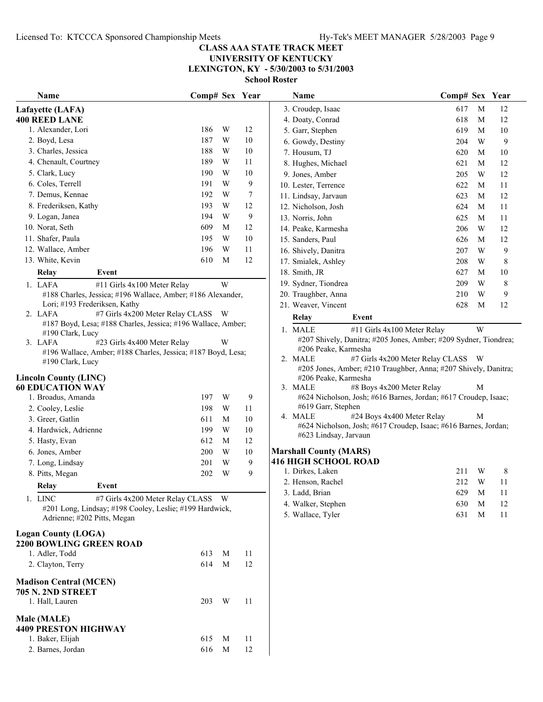**LEXINGTON, KY - 5/30/2003 to 5/31/2003**

| Name                                                                             | Comp# Sex Year |   |        | Name                                                             | Comp# Sex Year |        |         |
|----------------------------------------------------------------------------------|----------------|---|--------|------------------------------------------------------------------|----------------|--------|---------|
| Lafayette (LAFA)                                                                 |                |   |        | 3. Croudep, Isaac                                                | 617            | M      | 12      |
| <b>400 REED LANE</b>                                                             |                |   |        | 4. Doaty, Conrad                                                 | 618            | M      | 12      |
| 1. Alexander, Lori                                                               | 186            | W | 12     | 5. Garr, Stephen                                                 | 619            | M      | 10      |
| 2. Boyd, Lesa                                                                    | 187            | W | 10     | 6. Gowdy, Destiny                                                | 204            | W      | 9       |
| 3. Charles, Jessica                                                              | 188            | W | 10     | 7. Housum, TJ                                                    | 620            | M      | 10      |
| 4. Chenault, Courtney                                                            | 189            | W | 11     | 8. Hughes, Michael                                               | 621            | M      | 12      |
| 5. Clark, Lucy                                                                   | 190            | W | 10     | 9. Jones, Amber                                                  | 205            | W      | 12      |
| 6. Coles, Terrell                                                                | 191            | W | 9      | 10. Lester, Terrence                                             | 622            | M      | 11      |
| 7. Demus, Kennae                                                                 | 192            | W | 7      | 11. Lindsay, Jarvaun                                             | 623            | M      | 12      |
| 8. Frederiksen, Kathy                                                            | 193            | W | 12     | 12. Nicholson, Josh                                              | 624            | M      | 11      |
| 9. Logan, Janea                                                                  | 194            | W | 9      | 13. Norris, John                                                 | 625            | M      | 11      |
| 10. Norat, Seth                                                                  | 609            | M | 12     | 14. Peake, Karmesha                                              | 206            | W      | 12      |
| 11. Shafer, Paula                                                                | 195            | W | $10\,$ | 15. Sanders, Paul                                                | 626            | M      | 12      |
| 12. Wallace, Amber                                                               | 196            | W | 11     | 16. Shively, Danitra                                             | 207            | W      | 9       |
| 13. White, Kevin                                                                 | 610            | M | 12     | 17. Smialek, Ashley                                              | 208            | W      | 8       |
| Relay<br>Event                                                                   |                |   |        | 18. Smith, JR                                                    | 627            | M      | $10\,$  |
| 1. LAFA<br>#11 Girls 4x100 Meter Relay                                           |                | W |        | 19. Sydner, Tiondrea                                             | 209            | W      | $8\,$   |
| #188 Charles, Jessica; #196 Wallace, Amber; #186 Alexander,                      |                |   |        | 20. Traughber, Anna                                              | 210            | W      | 9       |
| Lori; #193 Frederiksen, Kathy                                                    |                |   |        | 21. Weaver, Vincent                                              | 628            | M      | 12      |
| #7 Girls 4x200 Meter Relay CLASS W<br>2. LAFA                                    |                |   |        | Event<br>Relay                                                   |                |        |         |
| #187 Boyd, Lesa; #188 Charles, Jessica; #196 Wallace, Amber;                     |                |   |        | 1. MALE<br>#11 Girls 4x100 Meter Relay                           |                | W      |         |
| #190 Clark, Lucy                                                                 |                |   |        | #207 Shively, Danitra; #205 Jones, Amber; #209 Sydner, Tiondrea; |                |        |         |
| 3. LAFA<br>#23 Girls 4x400 Meter Relay                                           |                | W |        | #206 Peake, Karmesha                                             |                |        |         |
| #196 Wallace, Amber; #188 Charles, Jessica; #187 Boyd, Lesa;<br>#190 Clark, Lucy |                |   |        | 2. MALE<br>#7 Girls 4x200 Meter Relay CLASS W                    |                |        |         |
|                                                                                  |                |   |        | #205 Jones, Amber; #210 Traughber, Anna; #207 Shively, Danitra;  |                |        |         |
| <b>Lincoln County (LINC)</b>                                                     |                |   |        | #206 Peake, Karmesha                                             |                |        |         |
| <b>60 EDUCATION WAY</b>                                                          |                |   |        | 3. MALE<br>#8 Boys 4x200 Meter Relay                             |                | M      |         |
| 1. Broadus, Amanda                                                               | 197            | W | 9      | #624 Nicholson, Josh; #616 Barnes, Jordan; #617 Croudep, Isaac;  |                |        |         |
| 2. Cooley, Leslie                                                                | 198            | W | 11     | #619 Garr, Stephen<br>#24 Boys 4x400 Meter Relay<br>4. MALE      |                | М      |         |
| 3. Greer, Gatlin                                                                 | 611            | M | 10     | #624 Nicholson, Josh; #617 Croudep, Isaac; #616 Barnes, Jordan;  |                |        |         |
| 4. Hardwick, Adrienne                                                            | 199            | W | $10\,$ | #623 Lindsay, Jarvaun                                            |                |        |         |
| 5. Hasty, Evan                                                                   | 612            | M | 12     |                                                                  |                |        |         |
| 6. Jones, Amber                                                                  | 200            | W | $10\,$ | <b>Marshall County (MARS)</b>                                    |                |        |         |
| 7. Long, Lindsay                                                                 | 201            | W | 9      | <b>416 HIGH SCHOOL ROAD</b>                                      |                |        |         |
| 8. Pitts, Megan                                                                  | 202            | W | 9      | 1. Dirkes, Laken                                                 | 211            | W<br>W | 8<br>11 |
| Relay<br>Event                                                                   |                |   |        | 2. Henson, Rachel                                                | 212            |        |         |
| #7 Girls 4x200 Meter Relay CLASS W<br>1. LINC                                    |                |   |        | 3. Ladd, Brian                                                   | 629            | M      | 11      |
| #201 Long, Lindsay; #198 Cooley, Leslie; #199 Hardwick,                          |                |   |        | 4. Walker, Stephen                                               | 630            | M      | 12      |
| Adrienne; #202 Pitts, Megan                                                      |                |   |        | 5. Wallace, Tyler                                                | 631            | M      | 11      |
| <b>Logan County (LOGA)</b>                                                       |                |   |        |                                                                  |                |        |         |
| 2200 BOWLING GREEN ROAD                                                          |                |   |        |                                                                  |                |        |         |
| 1. Adler, Todd                                                                   | 613            | M | 11     |                                                                  |                |        |         |
| 2. Clayton, Terry                                                                | 614            | M | 12     |                                                                  |                |        |         |
|                                                                                  |                |   |        |                                                                  |                |        |         |
| <b>Madison Central (MCEN)</b>                                                    |                |   |        |                                                                  |                |        |         |
| <b>705 N. 2ND STREET</b>                                                         |                |   |        |                                                                  |                |        |         |
| 1. Hall, Lauren                                                                  | 203            | W | 11     |                                                                  |                |        |         |
| Male (MALE)                                                                      |                |   |        |                                                                  |                |        |         |
| <b>4409 PRESTON HIGHWAY</b>                                                      |                |   |        |                                                                  |                |        |         |
| 1. Baker, Elijah                                                                 | 615            | M | 11     |                                                                  |                |        |         |
| 2. Barnes, Jordan                                                                | 616            | M | 12     |                                                                  |                |        |         |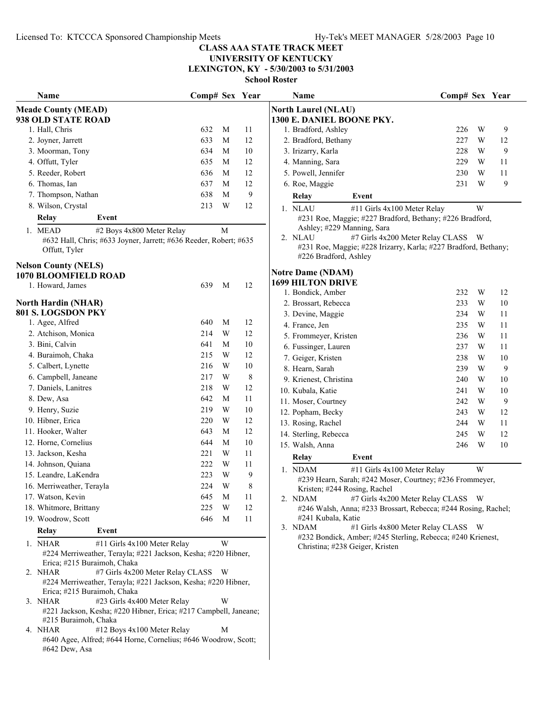**UNIVERSITY OF KENTUCKY**

**LEXINGTON, KY - 5/30/2003 to 5/31/2003**

| Name                                                                                         | Comp# Sex Year |                         |              | <b>Name</b>                                                                          | Comp# Sex Year |        |
|----------------------------------------------------------------------------------------------|----------------|-------------------------|--------------|--------------------------------------------------------------------------------------|----------------|--------|
| <b>Meade County (MEAD)</b>                                                                   |                |                         |              | <b>North Laurel (NLAU)</b>                                                           |                |        |
| <b>938 OLD STATE ROAD</b>                                                                    |                |                         |              | 1300 E. DANIEL BOONE PKY.                                                            |                |        |
| 1. Hall, Chris                                                                               | 632            | M                       | 11           | 1. Bradford, Ashley                                                                  | W<br>226       | 9      |
| 2. Joyner, Jarrett                                                                           | 633            | $\mathbf M$             | 12           | 2. Bradford, Bethany                                                                 | 227<br>W       | 12     |
| 3. Moorman, Tony                                                                             | 634            | M                       | 10           | 3. Irizarry, Karla                                                                   | 228<br>W       | 9      |
| 4. Offutt, Tyler                                                                             | 635            | M                       | 12           | 4. Manning, Sara                                                                     | W<br>229       | 11     |
| 5. Reeder, Robert                                                                            | 636            | $\mathbf M$             | 12           | 5. Powell, Jennifer                                                                  | W<br>230       | 11     |
| 6. Thomas, Ian                                                                               | 637            | M                       | 12           | 6. Roe, Maggie                                                                       | W<br>231       | 9      |
| 7. Thompson, Nathan                                                                          | 638            | M                       | $\mathbf{9}$ | Relay<br>Event                                                                       |                |        |
| 8. Wilson, Crystal                                                                           | 213            | $\mathbf W$             | 12           | 1. NLAU<br>#11 Girls 4x100 Meter Relay                                               | W              |        |
| Relay<br>Event                                                                               |                |                         |              | #231 Roe, Maggie; #227 Bradford, Bethany; #226 Bradford,                             |                |        |
| #2 Boys 4x800 Meter Relay<br>1. MEAD                                                         |                | M                       |              | Ashley; #229 Manning, Sara                                                           |                |        |
| #632 Hall, Chris; #633 Joyner, Jarrett; #636 Reeder, Robert; #635                            |                |                         |              | #7 Girls 4x200 Meter Relay CLASS W<br>2. NLAU                                        |                |        |
| Offutt, Tyler                                                                                |                |                         |              | #231 Roe, Maggie; #228 Irizarry, Karla; #227 Bradford, Bethany;                      |                |        |
|                                                                                              |                |                         |              | #226 Bradford, Ashley                                                                |                |        |
| <b>Nelson County (NELS)</b>                                                                  |                |                         |              | <b>Notre Dame (NDAM)</b>                                                             |                |        |
| <b>1070 BLOOMFIELD ROAD</b>                                                                  |                |                         |              | <b>1699 HILTON DRIVE</b>                                                             |                |        |
| 1. Howard, James                                                                             | 639            | M                       | 12           | 1. Bondick, Amber                                                                    | W<br>232       | 12     |
| <b>North Hardin (NHAR)</b>                                                                   |                |                         |              | 2. Brossart, Rebecca                                                                 | 233<br>W       | $10\,$ |
| 801 S. LOGSDON PKY                                                                           |                |                         |              | 3. Devine, Maggie                                                                    | 234<br>W       | 11     |
| 1. Agee, Alfred                                                                              | 640            | M                       | 12           | 4. France, Jen                                                                       | W<br>235       | 11     |
| 2. Atchison, Monica                                                                          | 214            | W                       | 12           | 5. Frommeyer, Kristen                                                                | 236<br>W       | 11     |
| 3. Bini, Calvin                                                                              | 641            | M                       | 10           | 6. Fussinger, Lauren                                                                 | 237<br>W       | 11     |
| 4. Buraimoh, Chaka                                                                           | 215            | W                       | 12           | 7. Geiger, Kristen                                                                   | 238<br>W       | 10     |
| 5. Calbert, Lynette                                                                          | 216            | W                       | 10           | 8. Hearn, Sarah                                                                      | 239<br>W       | 9      |
| 6. Campbell, Janeane                                                                         | 217            | W                       | 8            |                                                                                      | 240<br>W       |        |
| 7. Daniels, Lanitres                                                                         | 218            | W                       | 12           | 9. Krienest, Christina                                                               | W              | 10     |
| 8. Dew, Asa                                                                                  | 642            | M                       | 11           | 10. Kubala, Katie                                                                    | 241            | 10     |
| 9. Henry, Suzie                                                                              | 219            | W                       | 10           | 11. Moser, Courtney                                                                  | 242<br>W       | 9      |
| 10. Hibner, Erica                                                                            | 220            | W                       | 12           | 12. Popham, Becky                                                                    | 243<br>W       | 12     |
| 11. Hooker, Walter                                                                           | 643            | M                       | 12           | 13. Rosing, Rachel                                                                   | W<br>244       | 11     |
| 12. Horne, Cornelius                                                                         | 644            | M                       | 10           | 14. Sterling, Rebecca                                                                | W<br>245       | 12     |
| 13. Jackson, Kesha                                                                           | 221            | W                       | 11           | 15. Walsh, Anna                                                                      | W<br>246       | 10     |
| 14. Johnson, Quiana                                                                          | 222            | W                       | 11           | Relay<br>Event                                                                       |                |        |
| 15. Leandre, LaKendra                                                                        | 223            | $\ensuremath{\text{W}}$ | 9            | 1. NDAM<br>#11 Girls 4x100 Meter Relay                                               | W              |        |
| 16. Merriweather, Terayla                                                                    | 224            | W                       | $8\,$        | #239 Hearn, Sarah; #242 Moser, Courtney; #236 Frommeyer,                             |                |        |
| 17. Watson, Kevin                                                                            | 645            | M                       |              | Kristen; #244 Rosing, Rachel                                                         |                |        |
|                                                                                              |                |                         | 11           | #7 Girls 4x200 Meter Relay CLASS W<br>2. NDAM                                        |                |        |
| 18. Whitmore, Brittany                                                                       | 225            | W                       | 12           | #246 Walsh, Anna; #233 Brossart, Rebecca; #244 Rosing, Rachel;<br>#241 Kubala, Katie |                |        |
| 19. Woodrow, Scott                                                                           | 646            | M                       | 11           | 3. NDAM<br>#1 Girls 4x800 Meter Relay CLASS W                                        |                |        |
| Relay<br>Event                                                                               |                |                         |              | #232 Bondick, Amber; #245 Sterling, Rebecca; #240 Krienest,                          |                |        |
| 1. NHAR<br>#11 Girls 4x100 Meter Relay                                                       |                | W                       |              | Christina; #238 Geiger, Kristen                                                      |                |        |
| #224 Merriweather, Terayla; #221 Jackson, Kesha; #220 Hibner,                                |                |                         |              |                                                                                      |                |        |
| Erica; #215 Buraimoh, Chaka                                                                  |                |                         |              |                                                                                      |                |        |
| #7 Girls 4x200 Meter Relay CLASS W<br>2. NHAR                                                |                |                         |              |                                                                                      |                |        |
| #224 Merriweather, Terayla; #221 Jackson, Kesha; #220 Hibner,<br>Erica; #215 Buraimoh, Chaka |                |                         |              |                                                                                      |                |        |
| #23 Girls 4x400 Meter Relay<br>3. NHAR                                                       |                | W                       |              |                                                                                      |                |        |
| #221 Jackson, Kesha; #220 Hibner, Erica; #217 Campbell, Janeane;                             |                |                         |              |                                                                                      |                |        |
| #215 Buraimoh, Chaka                                                                         |                |                         |              |                                                                                      |                |        |
| #12 Boys 4x100 Meter Relay<br>4. NHAR                                                        |                | M                       |              |                                                                                      |                |        |
| #640 Agee, Alfred; #644 Horne, Cornelius; #646 Woodrow, Scott;                               |                |                         |              |                                                                                      |                |        |
| #642 Dew, Asa                                                                                |                |                         |              |                                                                                      |                |        |
|                                                                                              |                |                         |              |                                                                                      |                |        |

| Name                                                                                               | Comp# Sex Year |   |    |
|----------------------------------------------------------------------------------------------------|----------------|---|----|
| <b>North Laurel (NLAU)</b>                                                                         |                |   |    |
| 1300 E. DANIEL BOONE PKY.                                                                          |                |   |    |
| 1. Bradford, Ashley                                                                                | 226            | W | 9  |
| 2. Bradford, Bethany                                                                               | 227            | W | 12 |
| 3. Irizarry, Karla                                                                                 | 228            | W | 9  |
| 4. Manning, Sara                                                                                   | 229            | W | 11 |
| 5. Powell, Jennifer                                                                                | 230            | W | 11 |
| 6. Roe, Maggie                                                                                     | 231            | W | 9  |
| Event<br>Relay                                                                                     |                |   |    |
| 1. NLAU<br>#11 Girls 4x100 Meter Relay<br>#231 Roe, Maggie; #227 Bradford, Bethany; #226 Bradford, |                | W |    |
| Ashley; #229 Manning, Sara                                                                         |                |   |    |
| 2. NLAU<br>#7 Girls 4x200 Meter Relay CLASS                                                        |                | W |    |
| #231 Roe, Maggie; #228 Irizarry, Karla; #227 Bradford, Bethany;                                    |                |   |    |
| #226 Bradford, Ashley                                                                              |                |   |    |
| <b>Notre Dame (NDAM)</b>                                                                           |                |   |    |
| <b>1699 HILTON DRIVE</b>                                                                           |                |   |    |
| 1. Bondick, Amber                                                                                  | 232            | W | 12 |
| 2. Brossart, Rebecca                                                                               | 233            | W | 10 |
| 3. Devine, Maggie                                                                                  | 234            | W | 11 |
| 4. France, Jen                                                                                     | 235            | W | 11 |
| 5. Frommeyer, Kristen                                                                              | 236            | W | 11 |
| 6. Fussinger, Lauren                                                                               | 237            | W | 11 |
| 7. Geiger, Kristen                                                                                 | 238            | W | 10 |
| 8. Hearn, Sarah                                                                                    | 239            | W | 9  |
| 9. Krienest, Christina                                                                             | 240            | W | 10 |
| 10. Kubala, Katie                                                                                  | 241            | W | 10 |
| 11. Moser, Courtney                                                                                | 242            | W | 9  |
| 12. Popham, Becky                                                                                  | 243            | W | 12 |
| 13. Rosing, Rachel                                                                                 | 244            | W | 11 |
| 14. Sterling, Rebecca                                                                              | 245            | W | 12 |
| 15. Walsh, Anna                                                                                    | 246            | W | 10 |
| Event<br>Relay                                                                                     |                |   |    |
| 1. NDAM<br>#11 Girls 4x100 Meter Relay                                                             |                | W |    |
| #239 Hearn, Sarah; #242 Moser, Courtney; #236 Frommeyer,                                           |                |   |    |
| Kristen; #244 Rosing, Rachel                                                                       |                |   |    |
| 2. NDAM<br>#7 Girls 4x200 Meter Relay CLASS                                                        |                | W |    |
| #246 Walsh, Anna; #233 Brossart, Rebecca; #244 Rosing, Rachel;                                     |                |   |    |
| #241 Kubala, Katie                                                                                 |                |   |    |
| #1 Girls 4x800 Meter Relay CLASS<br>3. NDAM                                                        |                | W |    |
| #232 Bondick, Amber; #245 Sterling, Rebecca; #240 Krienest,<br>Christina; #238 Geiger, Kristen     |                |   |    |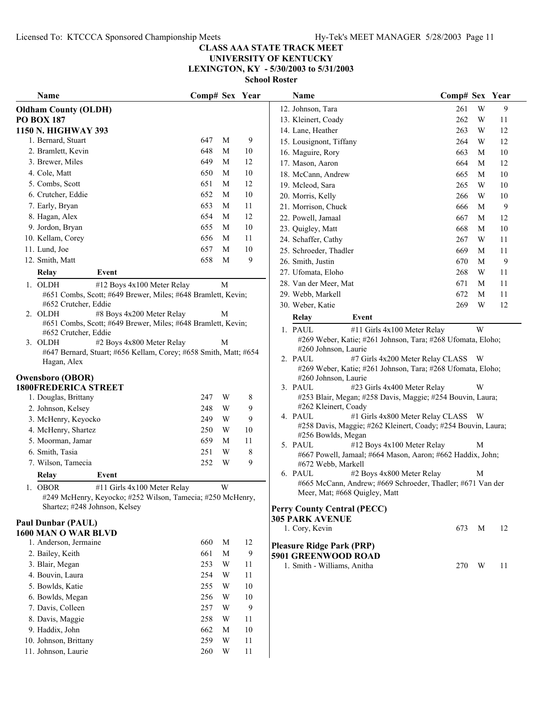**UNIVERSITY OF KENTUCKY LEXINGTON, KY - 5/30/2003 to 5/31/2003**

|    | Name                                                                                 | Comp# Sex Year |   |                | Name                                                                                                | Comp# Sex Year |              |                  |
|----|--------------------------------------------------------------------------------------|----------------|---|----------------|-----------------------------------------------------------------------------------------------------|----------------|--------------|------------------|
|    | <b>Oldham County (OLDH)</b>                                                          |                |   |                | 12. Johnson, Tara                                                                                   | 261            | W            | 9                |
|    | <b>PO BOX 187</b>                                                                    |                |   |                | 13. Kleinert, Coady                                                                                 | 262            | W            | 11               |
|    | 1150 N. HIGHWAY 393                                                                  |                |   |                | 14. Lane, Heather                                                                                   | 263            | W            | 12               |
|    | 1. Bernard, Stuart                                                                   | 647            | M | 9              | 15. Lousignont, Tiffany                                                                             | 264            | W            | 12               |
|    | 2. Bramlett, Kevin                                                                   | 648            | M | 10             | 16. Maguire, Rory                                                                                   | 663            | $\mathbf{M}$ | 10               |
|    | 3. Brewer, Miles                                                                     | 649            | M | 12             | 17. Mason, Aaron                                                                                    | 664            | M            | 12               |
|    | 4. Cole, Matt                                                                        | 650            | M | 10             | 18. McCann, Andrew                                                                                  | 665            | M            | 10               |
|    | 5. Combs, Scott                                                                      | 651            | M | 12             | 19. Mcleod, Sara                                                                                    | 265            | W            | 10               |
|    | 6. Crutcher, Eddie                                                                   | 652            | M | 10             | 20. Morris, Kelly                                                                                   | 266            | W            | 10               |
|    | 7. Early, Bryan                                                                      | 653            | M | 11             | 21. Morrison, Chuck                                                                                 | 666            | M            | 9                |
|    | 8. Hagan, Alex                                                                       | 654            | M | 12             | 22. Powell, Jamaal                                                                                  | 667            | M            | 12               |
|    | 9. Jordon, Bryan                                                                     | 655            | M | 10             | 23. Quigley, Matt                                                                                   | 668            | M            | 10               |
|    | 10. Kellam, Corey                                                                    | 656            | M | 11             | 24. Schaffer, Cathy                                                                                 | 267            | W            | 11               |
|    | 11. Lund, Joe                                                                        | 657            | M | 10             | 25. Schroeder, Thadler                                                                              | 669            | M            | 11               |
|    | 12. Smith, Matt                                                                      | 658            | M | 9              | 26. Smith, Justin                                                                                   | 670            | M            | $\boldsymbol{9}$ |
|    | Relay<br>Event                                                                       |                |   |                | 27. Ufomata, Eloho                                                                                  | 268            | W            | 11               |
|    |                                                                                      |                |   |                | 28. Van der Meer, Mat                                                                               | 671            | M            | 11               |
|    | 1. OLDH<br>#12 Boys 4x100 Meter Relay                                                |                | M |                | 29. Webb, Markell                                                                                   | 672            | M            | 11               |
|    | #651 Combs, Scott; #649 Brewer, Miles; #648 Bramlett, Kevin;<br>#652 Crutcher, Eddie |                |   |                |                                                                                                     | 269            | W            | 12               |
|    | #8 Boys 4x200 Meter Relay<br>2. OLDH                                                 |                | M |                | 30. Weber, Katie                                                                                    |                |              |                  |
|    | #651 Combs, Scott; #649 Brewer, Miles; #648 Bramlett, Kevin;                         |                |   |                | Event<br>Relay                                                                                      |                |              |                  |
|    | #652 Crutcher, Eddie                                                                 |                |   |                | #11 Girls 4x100 Meter Relay<br>1. PAUL                                                              |                | W            |                  |
|    | 3. OLDH<br>#2 Boys 4x800 Meter Relay                                                 |                | M |                | #269 Weber, Katie; #261 Johnson, Tara; #268 Ufomata, Eloho;                                         |                |              |                  |
|    | #647 Bernard, Stuart; #656 Kellam, Corey; #658 Smith, Matt; #654                     |                |   |                | #260 Johnson, Laurie<br>2. PAUL                                                                     |                |              |                  |
|    | Hagan, Alex                                                                          |                |   |                | #7 Girls 4x200 Meter Relay CLASS W<br>#269 Weber, Katie; #261 Johnson, Tara; #268 Ufomata, Eloho;   |                |              |                  |
|    | <b>Owensboro (OBOR)</b>                                                              |                |   |                | #260 Johnson, Laurie                                                                                |                |              |                  |
|    | <b>1800FREDERICA STREET</b>                                                          |                |   |                | 3. PAUL<br>#23 Girls 4x400 Meter Relay                                                              |                | W            |                  |
|    | 1. Douglas, Brittany                                                                 | 247            | W | 8              | #253 Blair, Megan; #258 Davis, Maggie; #254 Bouvin, Laura;                                          |                |              |                  |
|    | 2. Johnson, Kelsey                                                                   | 248            | W | 9              | #262 Kleinert, Coady                                                                                |                |              |                  |
|    | 3. McHenry, Keyocko                                                                  | 249            | W | 9              | #1 Girls 4x800 Meter Relay CLASS W<br>4. PAUL                                                       |                |              |                  |
|    | 4. McHenry, Shartez                                                                  | 250            | W | 10             | #258 Davis, Maggie; #262 Kleinert, Coady; #254 Bouvin, Laura;                                       |                |              |                  |
|    | 5. Moorman, Jamar                                                                    | 659            | M | 11             | #256 Bowlds, Megan                                                                                  |                |              |                  |
|    | 6. Smith, Tasia                                                                      | 251            | W | $\,$ $\,$      | #12 Boys 4x100 Meter Relay<br>5. PAUL<br>#667 Powell, Jamaal; #664 Mason, Aaron; #662 Haddix, John; |                | M            |                  |
|    | 7. Wilson, Tamecia                                                                   | 252            | W | 9              | #672 Webb, Markell                                                                                  |                |              |                  |
|    | Relay<br>Event                                                                       |                |   |                | #2 Boys 4x800 Meter Relay<br>6. PAUL                                                                |                | M            |                  |
|    | <b>OBOR</b><br>#11 Girls 4x100 Meter Relay                                           |                | W |                | #665 McCann, Andrew; #669 Schroeder, Thadler; #671 Van der                                          |                |              |                  |
| 1. | #249 McHenry, Keyocko; #252 Wilson, Tamecia; #250 McHenry,                           |                |   |                | Meer, Mat; #668 Quigley, Matt                                                                       |                |              |                  |
|    | Shartez; #248 Johnson, Kelsey                                                        |                |   |                | <b>Perry County Central (PECC)</b>                                                                  |                |              |                  |
|    |                                                                                      |                |   |                | <b>305 PARK AVENUE</b>                                                                              |                |              |                  |
|    | <b>Paul Dunbar (PAUL)</b>                                                            |                |   |                | 1. Cory, Kevin                                                                                      | 673            | M            | 12               |
|    | 1600 MAN O WAR BLVD                                                                  |                |   |                |                                                                                                     |                |              |                  |
|    | 1. Anderson, Jermaine                                                                | 660            | M | 12             | <b>Pleasure Ridge Park (PRP)</b>                                                                    |                |              |                  |
|    | 2. Bailey, Keith                                                                     | 661            | M | $\overline{9}$ | 5901 GREENWOOD ROAD                                                                                 |                |              |                  |
|    | 3. Blair, Megan                                                                      | 253            | W | 11             | 1. Smith - Williams, Anitha                                                                         | 270 W          |              | 11               |
|    | 4. Bouvin, Laura                                                                     | 254            | W | 11             |                                                                                                     |                |              |                  |
|    | 5. Bowlds, Katie                                                                     | 255            | W | 10             |                                                                                                     |                |              |                  |
|    | 6. Bowlds, Megan                                                                     | 256            | W | 10             |                                                                                                     |                |              |                  |
|    | 7. Davis, Colleen                                                                    | 257            | W | 9              |                                                                                                     |                |              |                  |
|    | 8. Davis, Maggie                                                                     | 258            | W | 11             |                                                                                                     |                |              |                  |
|    | 9. Haddix, John                                                                      | 662            | M | 10             |                                                                                                     |                |              |                  |
|    | 10. Johnson, Brittany                                                                | 259            | W | 11             |                                                                                                     |                |              |                  |
|    | 11. Johnson, Laurie                                                                  | 260            | W | 11             |                                                                                                     |                |              |                  |

| Name                                                                                                                                                                                                                                                                                                                                                                                                                                                                                                                                                                                                                                                                                                                                                                | Comp# Sex |                       | Year |
|---------------------------------------------------------------------------------------------------------------------------------------------------------------------------------------------------------------------------------------------------------------------------------------------------------------------------------------------------------------------------------------------------------------------------------------------------------------------------------------------------------------------------------------------------------------------------------------------------------------------------------------------------------------------------------------------------------------------------------------------------------------------|-----------|-----------------------|------|
| 12. Johnson, Tara                                                                                                                                                                                                                                                                                                                                                                                                                                                                                                                                                                                                                                                                                                                                                   | 261       | W                     | 9    |
| 13. Kleinert, Coady                                                                                                                                                                                                                                                                                                                                                                                                                                                                                                                                                                                                                                                                                                                                                 | 262       | W                     | 11   |
| 14. Lane, Heather                                                                                                                                                                                                                                                                                                                                                                                                                                                                                                                                                                                                                                                                                                                                                   | 263       | W                     | 12   |
| 15. Lousignont, Tiffany                                                                                                                                                                                                                                                                                                                                                                                                                                                                                                                                                                                                                                                                                                                                             | 264       | W                     | 12   |
| 16. Maguire, Rory                                                                                                                                                                                                                                                                                                                                                                                                                                                                                                                                                                                                                                                                                                                                                   | 663       | М                     | 10   |
| 17. Mason, Aaron                                                                                                                                                                                                                                                                                                                                                                                                                                                                                                                                                                                                                                                                                                                                                    | 664       | М                     | 12   |
| 18. McCann, Andrew                                                                                                                                                                                                                                                                                                                                                                                                                                                                                                                                                                                                                                                                                                                                                  | 665       | М                     | 10   |
| 19. Mcleod, Sara                                                                                                                                                                                                                                                                                                                                                                                                                                                                                                                                                                                                                                                                                                                                                    | 265       | W                     | 10   |
| 20. Morris, Kelly                                                                                                                                                                                                                                                                                                                                                                                                                                                                                                                                                                                                                                                                                                                                                   | 266       | W                     | 10   |
| 21. Morrison, Chuck                                                                                                                                                                                                                                                                                                                                                                                                                                                                                                                                                                                                                                                                                                                                                 | 666       | М                     | 9    |
| 22. Powell, Jamaal                                                                                                                                                                                                                                                                                                                                                                                                                                                                                                                                                                                                                                                                                                                                                  | 667       | М                     | 12   |
| 23. Quigley, Matt                                                                                                                                                                                                                                                                                                                                                                                                                                                                                                                                                                                                                                                                                                                                                   | 668       | М                     | 10   |
| 24. Schaffer, Cathy                                                                                                                                                                                                                                                                                                                                                                                                                                                                                                                                                                                                                                                                                                                                                 | 267       | W                     | 11   |
| 25. Schroeder, Thadler                                                                                                                                                                                                                                                                                                                                                                                                                                                                                                                                                                                                                                                                                                                                              | 669       | М                     | 11   |
| 26. Smith, Justin                                                                                                                                                                                                                                                                                                                                                                                                                                                                                                                                                                                                                                                                                                                                                   | 670       | М                     | 9    |
| 27. Ufomata, Eloho                                                                                                                                                                                                                                                                                                                                                                                                                                                                                                                                                                                                                                                                                                                                                  | 268       | W                     | 11   |
| 28. Van der Meer, Mat                                                                                                                                                                                                                                                                                                                                                                                                                                                                                                                                                                                                                                                                                                                                               | 671       | М                     | 11   |
| 29. Webb, Markell                                                                                                                                                                                                                                                                                                                                                                                                                                                                                                                                                                                                                                                                                                                                                   | 672       | M                     | 11   |
| 30. Weber, Katie                                                                                                                                                                                                                                                                                                                                                                                                                                                                                                                                                                                                                                                                                                                                                    | 269       | W                     | 12   |
| Relay<br>Event                                                                                                                                                                                                                                                                                                                                                                                                                                                                                                                                                                                                                                                                                                                                                      |           |                       |      |
| #269 Weber, Katie; #261 Johnson, Tara; #268 Ufomata, Eloho;<br>#260 Johnson, Laurie<br>#7 Girls 4x200 Meter Relay CLASS<br>2. PAUL<br>#269 Weber, Katie; #261 Johnson, Tara; #268 Ufomata, Eloho;<br>#260 Johnson, Laurie<br>3. PAUL<br>#23 Girls 4x400 Meter Relay<br>#253 Blair, Megan; #258 Davis, Maggie; #254 Bouvin, Laura;<br>#262 Kleinert, Coady<br>4. PAUL<br>#1 Girls 4x800 Meter Relay CLASS<br>#258 Davis, Maggie; #262 Kleinert, Coady; #254 Bouvin, Laura;<br>#256 Bowlds, Megan<br>#12 Boys 4x100 Meter Relay<br>5. PAUL<br>#667 Powell, Jamaal; #664 Mason, Aaron; #662 Haddix, John;<br>#672 Webb, Markell<br>6. PAUL<br>#2 Boys 4x800 Meter Relay<br>#665 McCann, Andrew; #669 Schroeder, Thadler; #671 Van der<br>Meer, Mat; #668 Quigley, Matt |           | W<br>W<br>W<br>M<br>М |      |
| <b>Perry County Central (PECC)</b>                                                                                                                                                                                                                                                                                                                                                                                                                                                                                                                                                                                                                                                                                                                                  |           |                       |      |
| <b>305 PARK AVENUE</b>                                                                                                                                                                                                                                                                                                                                                                                                                                                                                                                                                                                                                                                                                                                                              |           |                       |      |
| 1. Cory, Kevin                                                                                                                                                                                                                                                                                                                                                                                                                                                                                                                                                                                                                                                                                                                                                      | 673       | M                     | 12   |
| <b>Pleasure Ridge Park (PRP)</b><br><b>5901 GREENWOOD ROAD</b>                                                                                                                                                                                                                                                                                                                                                                                                                                                                                                                                                                                                                                                                                                      |           |                       |      |
| 1. Smith - Williams, Anitha                                                                                                                                                                                                                                                                                                                                                                                                                                                                                                                                                                                                                                                                                                                                         | 270       | W                     | 11   |
|                                                                                                                                                                                                                                                                                                                                                                                                                                                                                                                                                                                                                                                                                                                                                                     |           |                       |      |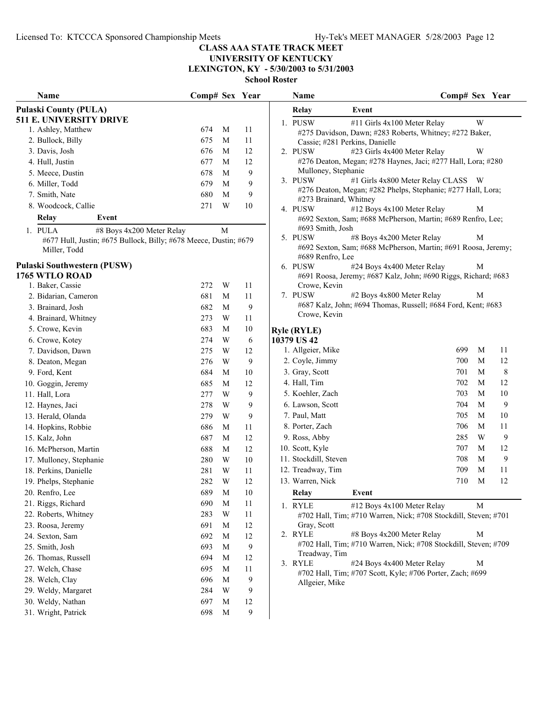### **UNIVERSITY OF KENTUCKY LEXINGTON, KY - 5/30/2003 to 5/31/2003**

| Name                                                             | Comp# Sex Year |                  |        | Comp# Sex Year<br><b>Name</b>                                                    |             |
|------------------------------------------------------------------|----------------|------------------|--------|----------------------------------------------------------------------------------|-------------|
| <b>Pulaski County (PULA)</b>                                     |                |                  |        | Event<br>Relay                                                                   |             |
| <b>511 E. UNIVERSITY DRIVE</b>                                   |                |                  |        | 1. PUSW<br>W<br>#11 Girls 4x100 Meter Relay                                      |             |
| 1. Ashley, Matthew                                               | 674            | M                | 11     | #275 Davidson, Dawn; #283 Roberts, Whitney; #272 Baker,                          |             |
| 2. Bullock, Billy                                                | 675            | M                | 11     | Cassie; #281 Perkins, Danielle                                                   |             |
| 3. Davis, Josh                                                   | 676            | M                | 12     | 2. PUSW<br>#23 Girls 4x400 Meter Relay<br>W                                      |             |
| 4. Hull, Justin                                                  | 677            | M                | 12     | #276 Deaton, Megan; #278 Haynes, Jaci; #277 Hall, Lora; #280                     |             |
| 5. Meece, Dustin                                                 | 678            | M                | 9      | Mulloney, Stephanie                                                              |             |
| 6. Miller, Todd                                                  | 679            | M                | 9      | 3. PUSW<br>#1 Girls 4x800 Meter Relay CLASS W                                    |             |
| 7. Smith, Nate                                                   | 680            | M                | 9      | #276 Deaton, Megan; #282 Phelps, Stephanie; #277 Hall, Lora;                     |             |
| 8. Woodcock, Callie                                              | 271            | W                | 10     | #273 Brainard, Whitney<br>#12 Boys 4x100 Meter Relay                             |             |
| Relay<br>Event                                                   |                |                  |        | 4. PUSW<br>M<br>#692 Sexton, Sam; #688 McPherson, Martin; #689 Renfro, Lee;      |             |
| 1. PULA<br>#8 Boys 4x200 Meter Relay                             |                | M                |        | #693 Smith, Josh                                                                 |             |
| #677 Hull, Justin; #675 Bullock, Billy; #678 Meece, Dustin; #679 |                |                  |        | 5. PUSW<br>#8 Boys 4x200 Meter Relay<br>M                                        |             |
| Miller, Todd                                                     |                |                  |        | #692 Sexton, Sam; #688 McPherson, Martin; #691 Roosa, Jeremy<br>#689 Renfro, Lee |             |
| Pulaski Southwestern (PUSW)                                      |                |                  |        | 6. PUSW<br>#24 Boys 4x400 Meter Relay<br>M                                       |             |
| 1765 WTLO ROAD                                                   |                |                  |        | #691 Roosa, Jeremy; #687 Kalz, John; #690 Riggs, Richard; #683                   |             |
| 1. Baker, Cassie                                                 | 272            | W                | 11     | Crowe, Kevin                                                                     |             |
| 2. Bidarian, Cameron                                             | 681            | M                | 11     | 7. PUSW<br>#2 Boys 4x800 Meter Relay<br>M                                        |             |
| 3. Brainard, Josh                                                | 682            | M                | 9      | #687 Kalz, John; #694 Thomas, Russell; #684 Ford, Kent; #683                     |             |
| 4. Brainard, Whitney                                             | 273            | W                | 11     | Crowe, Kevin                                                                     |             |
| 5. Crowe, Kevin                                                  | 683            | M                | 10     | <b>Ryle (RYLE)</b>                                                               |             |
| 6. Crowe, Kotey                                                  | 274            | W                | 6      | 10379 US42                                                                       |             |
| 7. Davidson, Dawn                                                | 275            | W                | 12     | 699<br>M<br>1. Allgeier, Mike<br>11                                              |             |
| 8. Deaton, Megan                                                 | 276            | W                | 9      | 2. Coyle, Jimmy<br>700<br>M                                                      | 12          |
| 9. Ford, Kent                                                    | 684            | M                | 10     | 3. Gray, Scott<br>701<br>M                                                       | $\,$ 8 $\,$ |
| 10. Goggin, Jeremy                                               | 685            | M                | 12     | 702<br>4. Hall, Tim<br>M                                                         | 12          |
| 11. Hall, Lora                                                   | 277            | W                | 9      | 703<br>5. Koehler, Zach<br>M                                                     | $10\,$      |
| 12. Haynes, Jaci                                                 | 278            | W                | 9      | 704<br>6. Lawson, Scott<br>M                                                     | 9           |
| 13. Herald, Olanda                                               | 279            | W                | 9      | 7. Paul, Matt<br>705<br>M                                                        | 10          |
| 14. Hopkins, Robbie                                              | 686            | M                | 11     | 706<br>$\mathbf M$<br>8. Porter, Zach<br>11                                      |             |
| 15. Kalz, John                                                   | 687            | M                | 12     | 285<br>W<br>9. Ross, Abby                                                        | 9           |
| 16. McPherson, Martin                                            | 688            | M                | 12     | 10. Scott, Kyle<br>707<br>M                                                      | 12          |
| 17. Mulloney, Stephanie                                          | 280            | W                | 10     | $\mathbf M$<br>11. Stockdill, Steven<br>708                                      | 9           |
| 18. Perkins, Danielle                                            | 281            | W                | 11     | 709<br>M<br>11<br>12. Treadway, Tim                                              |             |
| 19. Phelps, Stephanie                                            | 282            | $\mathbf W$      | $12\,$ | 13. Warren, Nick<br>710<br>$\mathbf M$                                           | 12          |
| 20. Renfro, Lee                                                  | 689            |                  |        |                                                                                  |             |
|                                                                  | 690            | M<br>$\mathbf M$ | $10\,$ | Event<br>Relay                                                                   |             |
| 21. Riggs, Richard                                               |                |                  | 11     | #12 Boys 4x100 Meter Relay<br>$\mathbf M$<br>1. RYLE                             |             |
| 22. Roberts, Whitney                                             | 283            | W                | 11     | #702 Hall, Tim; #710 Warren, Nick; #708 Stockdill, Steven; #701<br>Gray, Scott   |             |
| 23. Roosa, Jeremy                                                | 691            | M                | 12     | #8 Boys 4x200 Meter Relay<br>2. RYLE<br>M                                        |             |
| 24. Sexton, Sam                                                  | 692            | M                | 12     | #702 Hall, Tim; #710 Warren, Nick; #708 Stockdill, Steven; #709                  |             |
| 25. Smith, Josh                                                  | 693            | M                | 9      | Treadway, Tim                                                                    |             |
| 26. Thomas, Russell                                              | 694            | M                | 12     | 3. RYLE<br>#24 Boys 4x400 Meter Relay<br>M                                       |             |
| 27. Welch, Chase                                                 | 695            | M                | 11     | #702 Hall, Tim; #707 Scott, Kyle; #706 Porter, Zach; #699                        |             |
| 28. Welch, Clay                                                  | 696            | M                | 9      | Allgeier, Mike                                                                   |             |
| 29. Weldy, Margaret                                              | 284            | W                | 9      |                                                                                  |             |
| 30. Weldy, Nathan                                                | 697            | M                | 12     |                                                                                  |             |
| 31. Wright, Patrick                                              | 698            | M                | 9      |                                                                                  |             |

|    | Name                           |                                                                 | Comp# Sex Year |   |    |
|----|--------------------------------|-----------------------------------------------------------------|----------------|---|----|
|    | Relay                          | Event                                                           |                |   |    |
|    | 1. PUSW                        | #11 Girls 4x100 Meter Relay                                     |                | W |    |
|    |                                | #275 Davidson, Dawn; #283 Roberts, Whitney; #272 Baker,         |                |   |    |
|    | Cassie; #281 Perkins, Danielle |                                                                 |                |   |    |
| 2. | <b>PUSW</b>                    | #23 Girls 4x400 Meter Relay                                     |                | W |    |
|    |                                | #276 Deaton, Megan; #278 Haynes, Jaci; #277 Hall, Lora; #280    |                |   |    |
|    | Mulloney, Stephanie            |                                                                 |                |   |    |
|    | 3. PUSW                        | #1 Girls 4x800 Meter Relay CLASS                                |                | W |    |
|    | #273 Brainard, Whitney         | #276 Deaton, Megan; #282 Phelps, Stephanie; #277 Hall, Lora;    |                |   |    |
|    | 4. PUSW                        | #12 Boys 4x100 Meter Relay                                      |                | М |    |
|    |                                | #692 Sexton, Sam; #688 McPherson, Martin; #689 Renfro, Lee;     |                |   |    |
|    | #693 Smith, Josh               |                                                                 |                |   |    |
|    | 5. PUSW                        | #8 Boys 4x200 Meter Relay                                       |                | М |    |
|    |                                | #692 Sexton, Sam; #688 McPherson, Martin; #691 Roosa, Jeremy;   |                |   |    |
|    | #689 Renfro, Lee               |                                                                 |                |   |    |
|    | 6. PUSW                        | #24 Boys 4x400 Meter Relay                                      |                | М |    |
|    |                                | #691 Roosa, Jeremy; #687 Kalz, John; #690 Riggs, Richard; #683  |                |   |    |
|    | Crowe, Kevin                   |                                                                 |                |   |    |
| 7. | <b>PUSW</b>                    | #2 Boys 4x800 Meter Relay                                       |                | М |    |
|    |                                | #687 Kalz, John; #694 Thomas, Russell; #684 Ford, Kent; #683    |                |   |    |
|    | Crowe, Kevin                   |                                                                 |                |   |    |
|    | yle (RYLE)                     |                                                                 |                |   |    |
|    | 379 US 42                      |                                                                 |                |   |    |
|    | 1. Allgeier, Mike              |                                                                 | 699            | М | 11 |
|    | 2. Coyle, Jimmy                |                                                                 | 700            | М | 12 |
|    | 3. Gray, Scott                 |                                                                 | 701            | М | 8  |
|    | 4. Hall, Tim                   |                                                                 | 702            | М | 12 |
|    | 5. Koehler, Zach               |                                                                 | 703            | М | 10 |
|    | 6. Lawson, Scott               |                                                                 | 704            | М | 9  |
|    | 7. Paul, Matt                  |                                                                 | 705            | М | 10 |
|    | 8. Porter, Zach                |                                                                 | 706            | М | 11 |
|    | 9. Ross, Abby                  |                                                                 | 285            | W | 9  |
|    | 10. Scott, Kyle                |                                                                 | 707            | М | 12 |
|    | 11. Stockdill, Steven          |                                                                 | 708            | М | 9  |
|    | 12. Treadway, Tim              |                                                                 | 709            | М | 11 |
|    | 13. Warren, Nick               |                                                                 | 710            | М | 12 |
|    |                                | Event                                                           |                |   |    |
|    | Relay                          |                                                                 |                |   |    |
| 1. | <b>RYLE</b>                    | #12 Boys 4x100 Meter Relay                                      |                | M |    |
|    |                                | #702 Hall, Tim; #710 Warren, Nick; #708 Stockdill, Steven; #701 |                |   |    |
|    | Gray, Scott<br><b>RYLE</b>     | #8 Boys 4x200 Meter Relay                                       |                | М |    |
| 2. |                                | #702 Hall, Tim; #710 Warren, Nick; #708 Stockdill, Steven; #709 |                |   |    |
|    | Treadway, Tim                  |                                                                 |                |   |    |
| 3. | <b>RYLE</b>                    | #24 Boys 4x400 Meter Relay                                      |                | М |    |
|    |                                | #702 Hall, Tim; #707 Scott, Kyle; #706 Porter, Zach; #699       |                |   |    |
|    | Allgeier, Mike                 |                                                                 |                |   |    |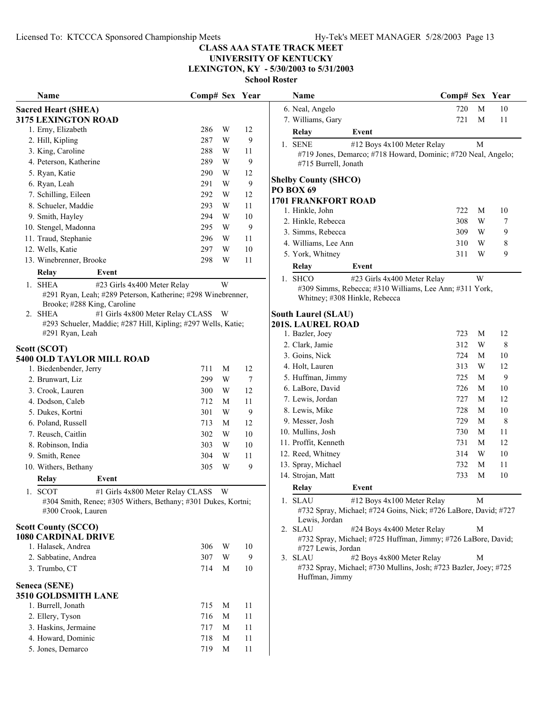# **UNIVERSITY OF KENTUCKY**

**LEXINGTON, KY - 5/30/2003 to 5/31/2003**

|                      | Name                                                                                | Comp# Sex |   | Year |
|----------------------|-------------------------------------------------------------------------------------|-----------|---|------|
|                      | <b>Sacred Heart (SHEA)</b>                                                          |           |   |      |
|                      | <b>3175 LEXINGTON ROAD</b>                                                          |           |   |      |
|                      | 1. Erny, Elizabeth                                                                  | 286       | W | 12   |
|                      | 2. Hill, Kipling                                                                    | 287       | W | 9    |
|                      | 3. King, Caroline                                                                   | 288       | W | 11   |
|                      | 4. Peterson, Katherine                                                              | 289       | W | 9    |
|                      | 5. Ryan, Katie                                                                      | 290       | W | 12   |
|                      | 6. Ryan, Leah                                                                       | 291       | W | 9    |
|                      | 7. Schilling, Eileen                                                                | 292       | W | 12   |
|                      | 8. Schueler, Maddie                                                                 | 293       | W | 11   |
|                      | 9. Smith, Hayley                                                                    | 294       | W | 10   |
|                      | 10. Stengel, Madonna                                                                | 295       | W | 9    |
|                      | 11. Traud, Stephanie                                                                | 296       | W | 11   |
|                      | 12. Wells, Katie                                                                    | 297       | W | 10   |
|                      | 13. Winebrenner, Brooke                                                             | 298       | W | 11   |
|                      | Relay<br>Event                                                                      |           |   |      |
| $\mathbf{1}_{\cdot}$ | <b>SHEA</b><br>#23 Girls 4x400 Meter Relay                                          |           | W |      |
|                      | #291 Ryan, Leah; #289 Peterson, Katherine; #298 Winebrenner,                        |           |   |      |
|                      | Brooke; #288 King, Caroline                                                         |           |   |      |
| 2.                   | <b>SHEA</b><br>#1 Girls 4x800 Meter Relay CLASS                                     |           | W |      |
|                      | #293 Schueler, Maddie; #287 Hill, Kipling; #297 Wells, Katie;<br>#291 Ryan, Leah    |           |   |      |
|                      | Scott (SCOT)                                                                        |           |   |      |
|                      | <b>5400 OLD TAYLOR MILL ROAD</b>                                                    |           |   |      |
|                      | 1. Biedenbender, Jerry                                                              | 711       | М | 12   |
|                      | 2. Brunwart, Liz                                                                    | 299       | W | 7    |
|                      | 3. Crook, Lauren                                                                    | 300       | W | 12   |
|                      | 4. Dodson, Caleb                                                                    | 712       | М | 11   |
|                      | 5. Dukes, Kortni                                                                    | 301       | W | 9    |
|                      | 6. Poland, Russell                                                                  | 713       | М | 12   |
|                      | 7. Reusch, Caitlin                                                                  | 302       | W | 10   |
|                      | 8. Robinson, India                                                                  | 303       | W | 10   |
|                      | 9. Smith, Renee                                                                     | 304       | W | 11   |
|                      | 10. Withers, Bethany                                                                | 305       | W | 9    |
|                      | Relay<br>Event                                                                      |           |   |      |
|                      | #1 Girls 4x800 Meter Relay CLASS W<br><b>SCOT</b>                                   |           |   |      |
|                      | #304 Smith, Renee; #305 Withers, Bethany; #301 Dukes, Kortni;<br>#300 Crook, Lauren |           |   |      |
|                      | <b>Scott County (SCCO)</b>                                                          |           |   |      |
|                      | <b>1080 CARDINAL DRIVE</b>                                                          |           |   |      |
|                      | 1. Halasek, Andrea                                                                  | 306       | W | 10   |
|                      | 2. Sabbatine, Andrea                                                                | 307       | W | 9    |
|                      | 3. Trumbo, CT                                                                       | 714       | М | 10   |
|                      |                                                                                     |           |   |      |
|                      | Seneca (SENE)<br><b>3510 GOLDSMITH LANE</b>                                         |           |   |      |
|                      | 1. Burrell, Jonath                                                                  | 715       | М | 11   |
|                      | 2. Ellery, Tyson                                                                    | 716       | М | 11   |
|                      | 3. Haskins, Jermaine                                                                | 717       | М | 11   |
|                      | 4. Howard, Dominic                                                                  | 718       | М | 11   |
|                      | 5. Jones, Demarco                                                                   | 719       | M | 11   |
|                      |                                                                                     |           |   |      |

| Name                  |                                                                                             | Comp# Sex Year |   |    | Name                          | Comp# Sex Year                                                                                |   |    |
|-----------------------|---------------------------------------------------------------------------------------------|----------------|---|----|-------------------------------|-----------------------------------------------------------------------------------------------|---|----|
| d Heart (SHEA)        |                                                                                             |                |   |    | 6. Neal, Angelo               | 720                                                                                           | M | 10 |
| <b>LEXINGTON ROAD</b> |                                                                                             |                |   |    | 7. Williams, Gary             | 721                                                                                           | M | 11 |
| Erny, Elizabeth       |                                                                                             | 286            | W | 12 | Relay                         | Event                                                                                         |   |    |
| Hill, Kipling         |                                                                                             | 287            | W | 9  | 1. SENE                       | #12 Boys 4x100 Meter Relay                                                                    | M |    |
| King, Caroline        |                                                                                             | 288            | W | 11 |                               | #719 Jones, Demarco; #718 Howard, Dominic; #720 Neal, Angelo;                                 |   |    |
| Peterson, Katherine   |                                                                                             | 289            | W | 9  | #715 Burrell, Jonath          |                                                                                               |   |    |
| Ryan, Katie           |                                                                                             | 290            | W | 12 |                               |                                                                                               |   |    |
| Ryan, Leah            |                                                                                             | 291            | W | 9  | <b>Shelby County (SHCO)</b>   |                                                                                               |   |    |
| Schilling, Eileen     |                                                                                             | 292            | W | 12 | PO BOX 69                     |                                                                                               |   |    |
| Schueler, Maddie      |                                                                                             | 293            | W | 11 | <b>1701 FRANKFORT ROAD</b>    |                                                                                               |   |    |
| Smith, Hayley         |                                                                                             | 294            | W | 10 | 1. Hinkle, John               | 722                                                                                           | M | 10 |
| Stengel, Madonna      |                                                                                             | 295            | W | 9  | 2. Hinkle, Rebecca            | 308                                                                                           | W | 7  |
| Traud, Stephanie      |                                                                                             | 296            | W | 11 | 3. Simms, Rebecca             | 309                                                                                           | W | 9  |
| Wells, Katie          |                                                                                             | 297            | W | 10 | 4. Williams, Lee Ann          | 310                                                                                           | W | 8  |
| Winebrenner, Brooke   |                                                                                             | 298            | W | 11 | 5. York, Whitney              | 311                                                                                           | W | 9  |
| Relay                 | Event                                                                                       |                |   |    | Relay                         | Event                                                                                         |   |    |
| <b>SHEA</b>           | #23 Girls 4x400 Meter Relay                                                                 |                | W |    | 1. SHCO                       | #23 Girls 4x400 Meter Relay                                                                   | W |    |
|                       | #291 Ryan, Leah; #289 Peterson, Katherine; #298 Winebrenner,<br>Brooke; #288 King, Caroline |                |   |    | Whitney; #308 Hinkle, Rebecca | #309 Simms, Rebecca; #310 Williams, Lee Ann; #311 York,                                       |   |    |
| SHEA                  | #1 Girls 4x800 Meter Relay CLASS W                                                          |                |   |    | <b>South Laurel (SLAU)</b>    |                                                                                               |   |    |
|                       | #293 Schueler, Maddie; #287 Hill, Kipling; #297 Wells, Katie;                               |                |   |    | 201S. LAUREL ROAD             |                                                                                               |   |    |
| #291 Ryan, Leah       |                                                                                             |                |   |    | 1. Bazler, Joey               | 723                                                                                           | M | 12 |
|                       |                                                                                             |                |   |    | 2. Clark, Jamie               | 312                                                                                           | W | 8  |
| (SCOT)                | <b>OLD TAYLOR MILL ROAD</b>                                                                 |                |   |    | 3. Goins, Nick                | 724                                                                                           | M | 10 |
| Biedenbender, Jerry   |                                                                                             | 711            | M | 12 | 4. Holt, Lauren               | 313                                                                                           | W | 12 |
| Brunwart, Liz         |                                                                                             | 299            | W | 7  | 5. Huffman, Jimmy             | 725                                                                                           | M | 9  |
|                       |                                                                                             |                | W | 12 | 6. LaBore, David              | 726                                                                                           | M | 10 |
| Crook, Lauren         |                                                                                             | 300            |   |    | 7. Lewis, Jordan              | 727                                                                                           | M | 12 |
| Dodson, Caleb         |                                                                                             | 712            | M | 11 | 8. Lewis, Mike                | 728                                                                                           | M | 10 |
| Dukes, Kortni         |                                                                                             | 301            | W | 9  | 9. Messer, Josh               | 729                                                                                           | M | 8  |
| Poland, Russell       |                                                                                             | 713            | M | 12 | 10. Mullins, Josh             | 730                                                                                           | M | 11 |
| Reusch, Caitlin       |                                                                                             | 302            | W | 10 | 11. Proffit, Kenneth          | 731                                                                                           | M | 12 |
| Robinson, India       |                                                                                             | 303            | W | 10 | 12. Reed, Whitney             | 314                                                                                           | W | 10 |
| Smith, Renee          |                                                                                             | 304            | W | 11 |                               |                                                                                               | M |    |
| Withers, Bethany      |                                                                                             | 305            | W | 9  | 13. Spray, Michael            | 732                                                                                           |   | 11 |
| Relay                 | Event                                                                                       |                |   |    | 14. Strojan, Matt             | 733                                                                                           | M | 10 |
| SCOT                  | #1 Girls 4x800 Meter Relay CLASS W                                                          |                |   |    | Relay                         | Event                                                                                         |   |    |
| #300 Crook, Lauren    | #304 Smith, Renee; #305 Withers, Bethany; #301 Dukes, Kortni;                               |                |   |    | 1. SLAU                       | #12 Boys 4x100 Meter Relay<br>#732 Spray, Michael; #724 Goins, Nick; #726 LaBore, David; #727 | М |    |
| <b>County (SCCO)</b>  |                                                                                             |                |   |    | Lewis, Jordan<br>2. SLAU      | #24 Boys 4x400 Meter Relay                                                                    |   |    |
| CARDINAL DRIVE        |                                                                                             |                |   |    |                               | #732 Spray, Michael; #725 Huffman, Jimmy; #726 LaBore, David;                                 | M |    |
| Halasek, Andrea       |                                                                                             | 306            | W | 10 | #727 Lewis, Jordan            |                                                                                               |   |    |
| Sabbatine, Andrea     |                                                                                             | 307            | W | 9  | 3. SLAU                       | #2 Boys 4x800 Meter Relay                                                                     | М |    |
| Trumbo, CT            |                                                                                             | 714            | M | 10 | Huffman, Jimmy                | #732 Spray, Michael; #730 Mullins, Josh; #723 Bazler, Joey; #725                              |   |    |
| a (SENE)              |                                                                                             |                |   |    |                               |                                                                                               |   |    |
| <b>GOLDSMITH LANE</b> |                                                                                             |                |   |    |                               |                                                                                               |   |    |
|                       |                                                                                             |                |   |    |                               |                                                                                               |   |    |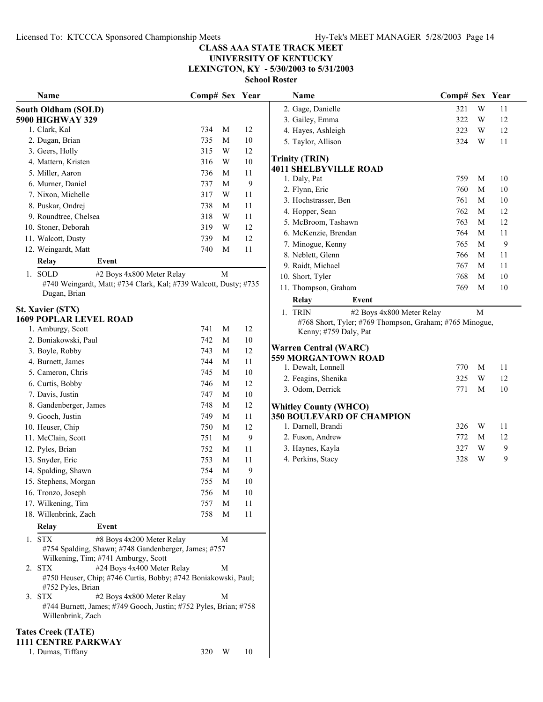## **UNIVERSITY OF KENTUCKY**

**LEXINGTON, KY - 5/30/2003 to 5/31/2003**

| Name                                                                                                                                                                                                                                                              | Comp# Sex Year |             |        | Name                                                    | Comp# Sex Year |   |        |
|-------------------------------------------------------------------------------------------------------------------------------------------------------------------------------------------------------------------------------------------------------------------|----------------|-------------|--------|---------------------------------------------------------|----------------|---|--------|
| <b>South Oldham (SOLD)</b>                                                                                                                                                                                                                                        |                |             |        | 2. Gage, Danielle                                       | 321            | W | 11     |
| <b>5900 HIGHWAY 329</b>                                                                                                                                                                                                                                           |                |             |        | 3. Gailey, Emma                                         | 322            | W | 12     |
| 1. Clark, Kal                                                                                                                                                                                                                                                     | 734            | M           | 12     | 4. Hayes, Ashleigh                                      | 323            | W | 12     |
| 2. Dugan, Brian                                                                                                                                                                                                                                                   | 735            | $\mathbf M$ | 10     | 5. Taylor, Allison                                      | 324            | W | 11     |
| 3. Geers, Holly                                                                                                                                                                                                                                                   | 315            | W           | 12     |                                                         |                |   |        |
| 4. Mattern, Kristen                                                                                                                                                                                                                                               | 316            | W           | 10     | <b>Trinity (TRIN)</b>                                   |                |   |        |
| 5. Miller, Aaron                                                                                                                                                                                                                                                  | 736            | M           | 11     | <b>4011 SHELBYVILLE ROAD</b><br>1. Daly, Pat            | 759            | M | 10     |
| 6. Murner, Daniel                                                                                                                                                                                                                                                 | 737            | M           | 9      | 2. Flynn, Eric                                          | 760            | M | $10\,$ |
| 7. Nixon, Michelle                                                                                                                                                                                                                                                | 317            | W           | 11     | 3. Hochstrasser, Ben                                    | 761            | M | $10\,$ |
| 8. Puskar, Ondrej                                                                                                                                                                                                                                                 | 738            | M           | 11     |                                                         | 762            | M | 12     |
| 9. Roundtree, Chelsea                                                                                                                                                                                                                                             | 318            | W           | 11     | 4. Hopper, Sean                                         | 763            | M | 12     |
| 10. Stoner, Deborah                                                                                                                                                                                                                                               | 319            | W           | 12     | 5. McBroom, Tashawn                                     |                |   |        |
| 11. Walcott, Dusty                                                                                                                                                                                                                                                | 739            | M           | 12     | 6. McKenzie, Brendan                                    | 764            | M | 11     |
| 12. Weingardt, Matt                                                                                                                                                                                                                                               | 740            | M           | 11     | 7. Minogue, Kenny                                       | 765            | M | 9      |
| Relay<br>Event                                                                                                                                                                                                                                                    |                |             |        | 8. Neblett, Glenn                                       | 766            | M | 11     |
| 1. SOLD<br>#2 Boys 4x800 Meter Relay                                                                                                                                                                                                                              |                | $\mathbf M$ |        | 9. Raidt, Michael                                       | 767            | M | 11     |
| #740 Weingardt, Matt; #734 Clark, Kal; #739 Walcott, Dusty; #735                                                                                                                                                                                                  |                |             |        | 10. Short, Tyler                                        | 768            | M | 10     |
| Dugan, Brian                                                                                                                                                                                                                                                      |                |             |        | 11. Thompson, Graham                                    | 769            | M | 10     |
|                                                                                                                                                                                                                                                                   |                |             |        | <b>Relay</b><br>Event                                   |                |   |        |
| <b>St. Xavier (STX)</b>                                                                                                                                                                                                                                           |                |             |        | 1. TRIN<br>#2 Boys 4x800 Meter Relay                    |                | M |        |
| <b>1609 POPLAR LEVEL ROAD</b>                                                                                                                                                                                                                                     |                |             |        | #768 Short, Tyler; #769 Thompson, Graham; #765 Minogue, |                |   |        |
| 1. Amburgy, Scott                                                                                                                                                                                                                                                 | 741            | M           | 12     | Kenny; #759 Daly, Pat                                   |                |   |        |
| 2. Boniakowski, Paul                                                                                                                                                                                                                                              | 742            | $\mathbf M$ | $10\,$ | <b>Warren Central (WARC)</b>                            |                |   |        |
| 3. Boyle, Robby                                                                                                                                                                                                                                                   | 743            | M           | 12     | 559 MORGANTOWN ROAD                                     |                |   |        |
| 4. Burnett, James                                                                                                                                                                                                                                                 | 744            | M           | 11     | 1. Dewalt, Lonnell                                      | 770            | M | 11     |
| 5. Cameron, Chris                                                                                                                                                                                                                                                 | 745            | $\mathbf M$ | 10     | 2. Feagins, Shenika                                     | 325            | W | 12     |
| 6. Curtis, Bobby                                                                                                                                                                                                                                                  | 746            | $\mathbf M$ | 12     | 3. Odom, Derrick                                        | 771            | M | 10     |
| 7. Davis, Justin                                                                                                                                                                                                                                                  | 747            | M           | $10\,$ |                                                         |                |   |        |
| 8. Gandenberger, James                                                                                                                                                                                                                                            | 748            | M           | 12     | <b>Whitley County (WHCO)</b>                            |                |   |        |
| 9. Gooch, Justin                                                                                                                                                                                                                                                  | 749            | M           | 11     | <b>350 BOULEVARD OF CHAMPION</b>                        |                |   |        |
| 10. Heuser, Chip                                                                                                                                                                                                                                                  | 750            | M           | 12     | 1. Darnell, Brandi                                      | 326            | W | 11     |
| 11. McClain, Scott                                                                                                                                                                                                                                                | 751            | $\mathbf M$ | 9      | 2. Fuson, Andrew                                        | 772            | M | 12     |
| 12. Pyles, Brian                                                                                                                                                                                                                                                  | 752            | M           | 11     | 3. Haynes, Kayla                                        | 327            | W | 9      |
| 13. Snyder, Eric                                                                                                                                                                                                                                                  | 753            | M           | 11     | 4. Perkins, Stacy                                       | 328            | W | 9      |
| 14. Spalding, Shawn                                                                                                                                                                                                                                               | 754            | $\mathbf M$ | 9      |                                                         |                |   |        |
| 15. Stephens, Morgan                                                                                                                                                                                                                                              | 755            | M           | 10     |                                                         |                |   |        |
| 16. Tronzo, Joseph                                                                                                                                                                                                                                                | 756            | M           | 10     |                                                         |                |   |        |
| 17. Wilkening, Tim                                                                                                                                                                                                                                                | 757            | M           | 11     |                                                         |                |   |        |
| 18. Willenbrink, Zach                                                                                                                                                                                                                                             | 758            | M           | 11     |                                                         |                |   |        |
| Relay<br>Event                                                                                                                                                                                                                                                    |                |             |        |                                                         |                |   |        |
| 1. STX<br>#8 Boys 4x200 Meter Relay<br>#754 Spalding, Shawn; #748 Gandenberger, James; #757<br>Wilkening, Tim; #741 Amburgy, Scott<br>2. STX<br>#24 Boys 4x400 Meter Relay<br>#750 Heuser, Chip; #746 Curtis, Bobby; #742 Boniakowski, Paul;<br>#752 Pyles, Brian |                | M<br>M      |        |                                                         |                |   |        |
| #2 Boys 4x800 Meter Relay<br>3. STX<br>#744 Burnett, James; #749 Gooch, Justin; #752 Pyles, Brian; #758<br>Willenbrink, Zach                                                                                                                                      |                | M           |        |                                                         |                |   |        |
| <b>Tates Creek (TATE)</b><br><b>1111 CENTRE PARKWAY</b>                                                                                                                                                                                                           |                |             |        |                                                         |                |   |        |
| 1. Dumas, Tiffany                                                                                                                                                                                                                                                 | 320 W          |             | 10     |                                                         |                |   |        |

| ivame                                                                            | $\epsilon$ omp# $\epsilon$ sex |             | r ear |
|----------------------------------------------------------------------------------|--------------------------------|-------------|-------|
| 2. Gage, Danielle                                                                | 321                            | W           | 11    |
| 3. Gailey, Emma                                                                  | 322                            | W           | 12    |
| 4. Hayes, Ashleigh                                                               | 323                            | W           | 12    |
| 5. Taylor, Allison                                                               | 324                            | W           | 11    |
| <b>Trinity (TRIN)</b>                                                            |                                |             |       |
| <b>4011 SHELBYVILLE ROAD</b>                                                     |                                |             |       |
| 1. Daly, Pat                                                                     | 759                            | M           | 10    |
| 2. Flynn, Eric                                                                   | 760                            | М           | 10    |
| 3. Hochstrasser, Ben                                                             | 761                            | M           | 10    |
| 4. Hopper, Sean                                                                  | 762                            | M           | 12    |
| 5. McBroom, Tashawn                                                              | 763                            | M           | 12    |
| 6. McKenzie, Brendan                                                             | 764                            | M           | 11    |
| 7. Minogue, Kenny                                                                | 765                            | M           | 9     |
| 8. Neblett, Glenn                                                                | 766                            | M           | 11    |
| 9. Raidt, Michael                                                                | 767                            | $\mathbf M$ | 11    |
| 10. Short, Tyler                                                                 | 768                            | M           | 10    |
| 11. Thompson, Graham                                                             | 769                            | M           | 10    |
| Relay<br>Event                                                                   |                                |             |       |
| <b>TRIN</b><br>#2 Boys 4x800 Meter Relay<br>1.                                   |                                | M           |       |
| #768 Short, Tyler; #769 Thompson, Graham; #765 Minogue,<br>Kenny; #759 Daly, Pat |                                |             |       |
| Warren Central (WARC)                                                            |                                |             |       |
| <b>559 MORGANTOWN ROAD</b>                                                       |                                |             |       |
| 1. Dewalt, Lonnell                                                               | 770                            | M           | 11    |
| 2. Feagins, Shenika                                                              | 325                            | W           | 12    |
| 3. Odom, Derrick                                                                 | 771                            | M           | 10    |
| <b>Whitley County (WHCO)</b>                                                     |                                |             |       |
| <b>350 BOULEVARD OF CHAMPION</b>                                                 |                                |             |       |
| 1. Darnell, Brandi                                                               | 326                            | W           | 11    |
| 2. Fuson, Andrew                                                                 | 772                            | M           | 12    |
| 3. Haynes, Kayla                                                                 | 327                            | W           | 9     |
| 4. Perkins, Stacy                                                                | 328                            | W           | 9     |
|                                                                                  |                                |             |       |